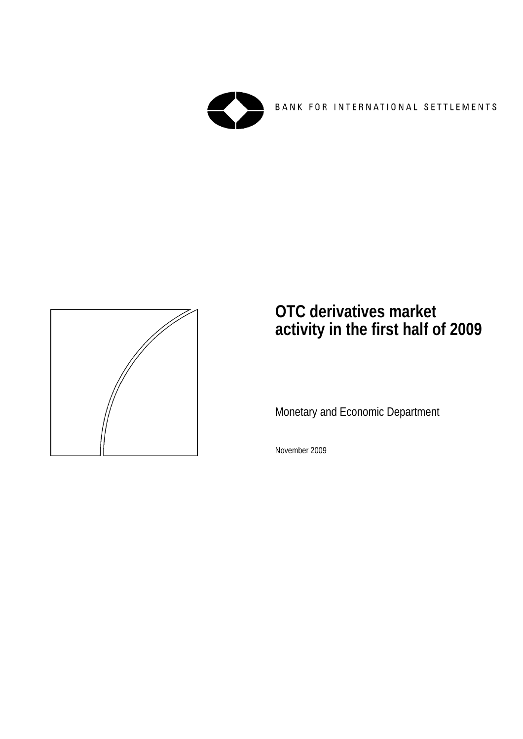

BANK FOR INTERNATIONAL SETTLEMENTS



## **OTC derivatives market activity in the first half of 2009**

Monetary and Economic Department

November 2009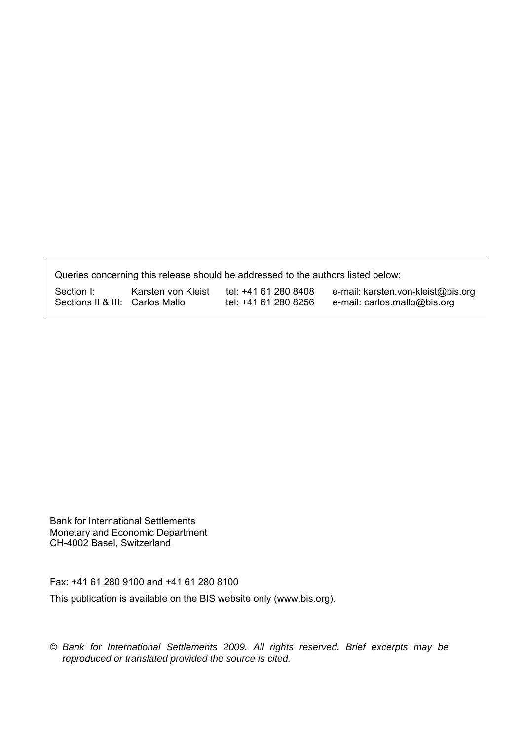Queries concerning this release should be addressed to the authors listed below:

| Section I:                      | Karsten von Kleist | tel: +41 61 280 8408 | e-mail: karsten.von-kleist@bis.org |
|---------------------------------|--------------------|----------------------|------------------------------------|
| Sections II & III: Carlos Mallo |                    | tel: +41 61 280 8256 | e-mail: carlos.mallo@bis.org       |

Bank for International Settlements Monetary and Economic Department CH-4002 Basel, Switzerland

Fax: +41 61 280 9100 and +41 61 280 8100

This publication is available on the BIS website only [\(www.bis.org](http://www.bis.org/)).

*© Bank for International Settlements 2009. All rights reserved. Brief excerpts may be reproduced or translated provided the source is cited.*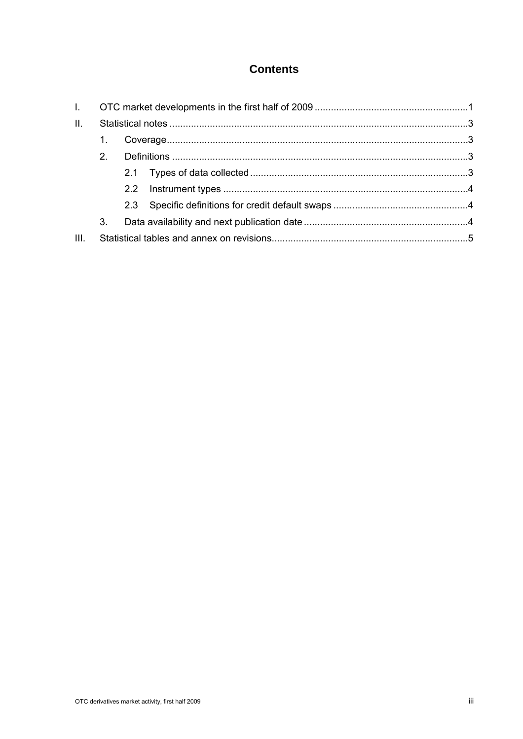## **Contents**

| $\mathbf{L}$ |                |  |  |  |  |  |  |  |
|--------------|----------------|--|--|--|--|--|--|--|
| II.          |                |  |  |  |  |  |  |  |
|              | $1_{\cdot}$    |  |  |  |  |  |  |  |
|              | 2 <sup>1</sup> |  |  |  |  |  |  |  |
|              |                |  |  |  |  |  |  |  |
|              |                |  |  |  |  |  |  |  |
|              |                |  |  |  |  |  |  |  |
|              | 3 <sub>1</sub> |  |  |  |  |  |  |  |
| III.         |                |  |  |  |  |  |  |  |
|              |                |  |  |  |  |  |  |  |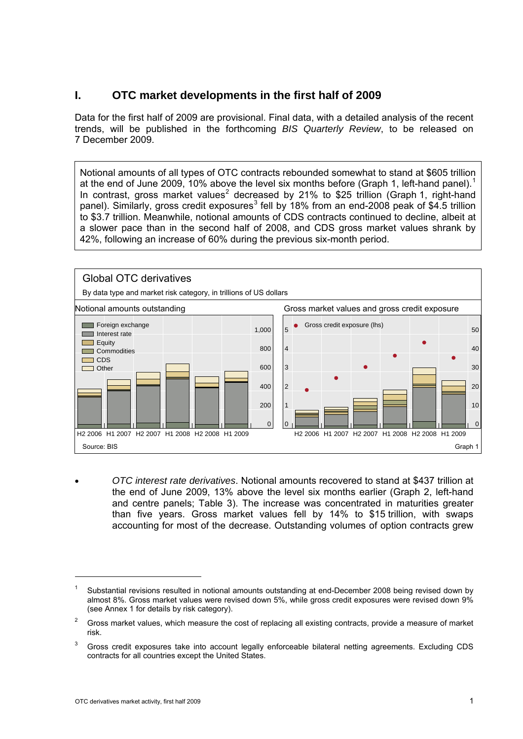## <span id="page-4-0"></span>**I. OTC market developments in the first half of 2009**

Data for the first half of 2009 are provisional. Final data, with a detailed analysis of the recent trends, will be published in the forthcoming *BIS Quarterly Review*, to be released on 7 December 2009.

Notional amounts of all types of OTC contracts rebounded somewhat to stand at \$605 trillion at the end of June 2009, [1](#page-4-1)0% above the level six months before (Graph 1, left-hand panel).<sup>1</sup> In contrast, gross market values<sup>[2](#page-4-2)</sup> decreased by 21% to \$25 trillion (Graph 1, right-hand panel). Similarly, gross credit exposures<sup>[3](#page-4-3)</sup> fell by 18% from an end-2008 peak of \$4.5 trillion to \$3.7 trillion. Meanwhile, notional amounts of CDS contracts continued to decline, albeit at a slower pace than in the second half of 2008, and CDS gross market values shrank by 42%, following an increase of 60% during the previous six-month period.



• *OTC interest rate derivatives*. Notional amounts recovered to stand at \$437 trillion at the end of June 2009, 13% above the level six months earlier (Graph 2, left-hand and centre panels; Table 3). The increase was concentrated in maturities greater than five years. Gross market values fell by 14% to \$15 trillion, with swaps accounting for most of the decrease. Outstanding volumes of option contracts grew

 $\overline{a}$ 

<sup>1</sup> Substantial revisions resulted in notional amounts outstanding at end-December 2008 being revised down by almost 8%. Gross market values were revised down 5%, while gross credit exposures were revised down 9% (see Annex 1 for details by risk category).

<sup>2</sup> Gross market values, which measure the cost of replacing all existing contracts, provide a measure of market risk.

<span id="page-4-3"></span><span id="page-4-2"></span><span id="page-4-1"></span><sup>3</sup> Gross credit exposures take into account legally enforceable bilateral netting agreements. Excluding CDS contracts for all countries except the United States.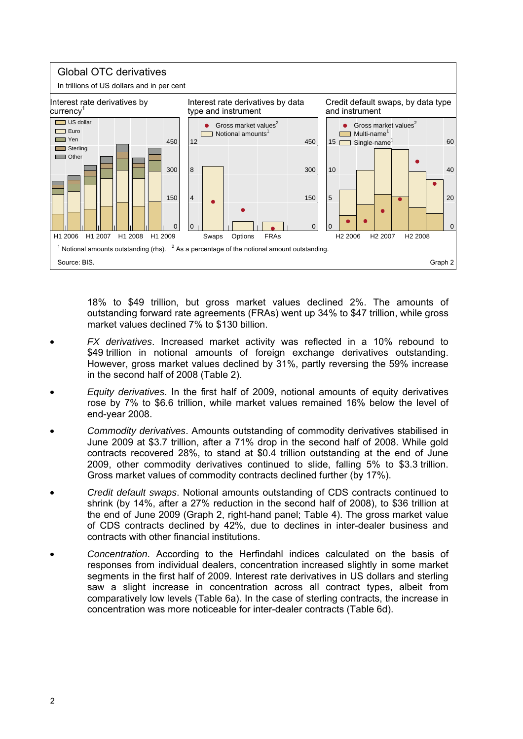

18% to \$49 trillion, but gross market values declined 2%. The amounts of outstanding forward rate agreements (FRAs) went up 34% to \$47 trillion, while gross market values declined 7% to \$130 billion.

- *FX derivatives*. Increased market activity was reflected in a 10% rebound to \$49 trillion in notional amounts of foreign exchange derivatives outstanding. However, gross market values declined by 31%, partly reversing the 59% increase in the second half of 2008 (Table 2).
- *Equity derivatives*. In the first half of 2009, notional amounts of equity derivatives rose by 7% to \$6.6 trillion, while market values remained 16% below the level of end-year 2008.
- *Commodity derivatives*. Amounts outstanding of commodity derivatives stabilised in June 2009 at \$3.7 trillion, after a 71% drop in the second half of 2008. While gold contracts recovered 28%, to stand at \$0.4 trillion outstanding at the end of June 2009, other commodity derivatives continued to slide, falling 5% to \$3.3 trillion. Gross market values of commodity contracts declined further (by 17%).
- *Credit default swaps*. Notional amounts outstanding of CDS contracts continued to shrink (by 14%, after a 27% reduction in the second half of 2008), to \$36 trillion at the end of June 2009 (Graph 2, right-hand panel; Table 4). The gross market value of CDS contracts declined by 42%, due to declines in inter-dealer business and contracts with other financial institutions.
- *Concentration*. According to the Herfindahl indices calculated on the basis of responses from individual dealers, concentration increased slightly in some market segments in the first half of 2009. Interest rate derivatives in US dollars and sterling saw a slight increase in concentration across all contract types, albeit from comparatively low levels (Table 6a). In the case of sterling contracts, the increase in concentration was more noticeable for inter-dealer contracts (Table 6d).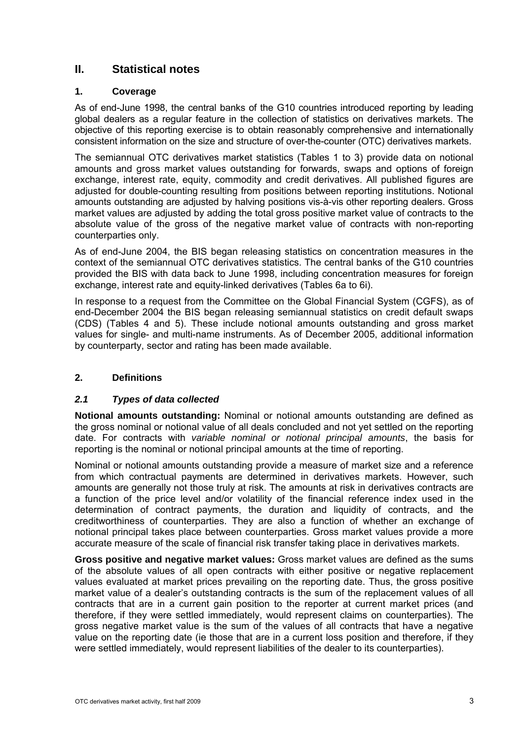## <span id="page-6-0"></span>**II. Statistical notes**

## **1. Coverage**

As of end-June 1998, the central banks of the G10 countries introduced reporting by leading global dealers as a regular feature in the collection of statistics on derivatives markets. The objective of this reporting exercise is to obtain reasonably comprehensive and internationally consistent information on the size and structure of over-the-counter (OTC) derivatives markets.

The semiannual OTC derivatives market statistics (Tables 1 to 3) provide data on notional amounts and gross market values outstanding for forwards, swaps and options of foreign exchange, interest rate, equity, commodity and credit derivatives. All published figures are adjusted for double-counting resulting from positions between reporting institutions. Notional amounts outstanding are adjusted by halving positions vis-à-vis other reporting dealers. Gross market values are adjusted by adding the total gross positive market value of contracts to the absolute value of the gross of the negative market value of contracts with non-reporting counterparties only.

As of end-June 2004, the BIS began releasing statistics on concentration measures in the context of the semiannual OTC derivatives statistics. The central banks of the G10 countries provided the BIS with data back to June 1998, including concentration measures for foreign exchange, interest rate and equity-linked derivatives (Tables 6a to 6i).

In response to a request from the Committee on the Global Financial System (CGFS), as of end-December 2004 the BIS began releasing semiannual statistics on credit default swaps (CDS) (Tables 4 and 5). These include notional amounts outstanding and gross market values for single- and multi-name instruments. As of December 2005, additional information by counterparty, sector and rating has been made available.

## **2. Definitions**

#### *2.1 Types of data collected*

**Notional amounts outstanding:** Nominal or notional amounts outstanding are defined as the gross nominal or notional value of all deals concluded and not yet settled on the reporting date. For contracts with *variable nominal or notional principal amounts*, the basis for reporting is the nominal or notional principal amounts at the time of reporting.

Nominal or notional amounts outstanding provide a measure of market size and a reference from which contractual payments are determined in derivatives markets. However, such amounts are generally not those truly at risk. The amounts at risk in derivatives contracts are a function of the price level and/or volatility of the financial reference index used in the determination of contract payments, the duration and liquidity of contracts, and the creditworthiness of counterparties. They are also a function of whether an exchange of notional principal takes place between counterparties. Gross market values provide a more accurate measure of the scale of financial risk transfer taking place in derivatives markets.

**Gross positive and negative market values:** Gross market values are defined as the sums of the absolute values of all open contracts with either positive or negative replacement values evaluated at market prices prevailing on the reporting date. Thus, the gross positive market value of a dealer's outstanding contracts is the sum of the replacement values of all contracts that are in a current gain position to the reporter at current market prices (and therefore, if they were settled immediately, would represent claims on counterparties). The gross negative market value is the sum of the values of all contracts that have a negative value on the reporting date (ie those that are in a current loss position and therefore, if they were settled immediately, would represent liabilities of the dealer to its counterparties).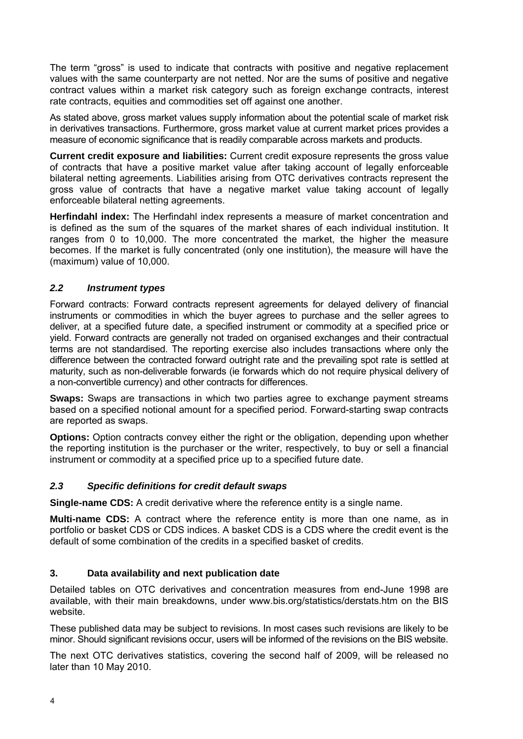<span id="page-7-0"></span>The term "gross" is used to indicate that contracts with positive and negative replacement values with the same counterparty are not netted. Nor are the sums of positive and negative contract values within a market risk category such as foreign exchange contracts, interest rate contracts, equities and commodities set off against one another.

As stated above, gross market values supply information about the potential scale of market risk in derivatives transactions. Furthermore, gross market value at current market prices provides a measure of economic significance that is readily comparable across markets and products.

**Current credit exposure and liabilities:** Current credit exposure represents the gross value of contracts that have a positive market value after taking account of legally enforceable bilateral netting agreements. Liabilities arising from OTC derivatives contracts represent the gross value of contracts that have a negative market value taking account of legally enforceable bilateral netting agreements.

**Herfindahl index:** The Herfindahl index represents a measure of market concentration and is defined as the sum of the squares of the market shares of each individual institution. It ranges from 0 to 10,000. The more concentrated the market, the higher the measure becomes. If the market is fully concentrated (only one institution), the measure will have the (maximum) value of 10,000.

#### *2.2 Instrument types*

Forward contracts: Forward contracts represent agreements for delayed delivery of financial instruments or commodities in which the buyer agrees to purchase and the seller agrees to deliver, at a specified future date, a specified instrument or commodity at a specified price or yield. Forward contracts are generally not traded on organised exchanges and their contractual terms are not standardised. The reporting exercise also includes transactions where only the difference between the contracted forward outright rate and the prevailing spot rate is settled at maturity, such as non-deliverable forwards (ie forwards which do not require physical delivery of a non-convertible currency) and other contracts for differences.

**Swaps:** Swaps are transactions in which two parties agree to exchange payment streams based on a specified notional amount for a specified period. Forward-starting swap contracts are reported as swaps.

**Options:** Option contracts convey either the right or the obligation, depending upon whether the reporting institution is the purchaser or the writer, respectively, to buy or sell a financial instrument or commodity at a specified price up to a specified future date.

#### *2.3 Specific definitions for credit default swaps*

**Single-name CDS:** A credit derivative where the reference entity is a single name.

**Multi-name CDS:** A contract where the reference entity is more than one name, as in portfolio or basket CDS or CDS indices. A basket CDS is a CDS where the credit event is the default of some combination of the credits in a specified basket of credits.

## **3. Data availability and next publication date**

Detailed tables on OTC derivatives and concentration measures from end-June 1998 are available, with their main breakdowns, under www.bis.org/statistics/derstats.htm on the BIS website.

These published data may be subject to revisions. In most cases such revisions are likely to be minor. Should significant revisions occur, users will be informed of the revisions on the BIS website.

The next OTC derivatives statistics, covering the second half of 2009, will be released no later than 10 May 2010.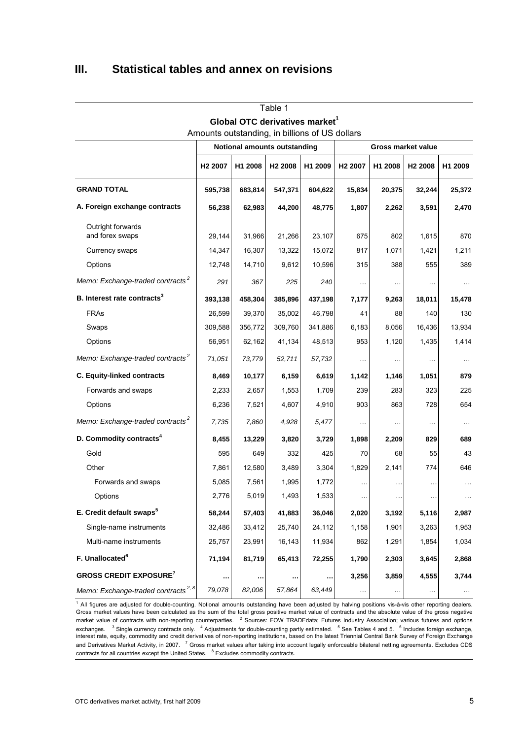## <span id="page-8-0"></span>**III. Statistical tables and annex on revisions**

|                                                 | Table 1             |                              |                     |                                            |                     |                     |                           |               |  |  |
|-------------------------------------------------|---------------------|------------------------------|---------------------|--------------------------------------------|---------------------|---------------------|---------------------------|---------------|--|--|
|                                                 |                     |                              |                     | Global OTC derivatives market <sup>1</sup> |                     |                     |                           |               |  |  |
| Amounts outstanding, in billions of US dollars  |                     |                              |                     |                                            |                     |                     |                           |               |  |  |
|                                                 |                     | Notional amounts outstanding |                     |                                            |                     |                     | <b>Gross market value</b> |               |  |  |
|                                                 | H <sub>2</sub> 2007 | H1 2008                      | H <sub>2</sub> 2008 | H1 2009                                    | H <sub>2</sub> 2007 | H <sub>1</sub> 2008 | H <sub>2</sub> 2008       | H1 2009       |  |  |
| <b>GRAND TOTAL</b>                              | 595,738             | 683,814                      | 547,371             | 604,622                                    | 15,834              | 20,375              | 32,244                    | 25,372        |  |  |
| A. Foreign exchange contracts                   | 56,238              | 62,983                       | 44,200              | 48,775                                     | 1,807               | 2,262               | 3,591                     | 2,470         |  |  |
| Outright forwards<br>and forex swaps            | 29,144              | 31,966                       | 21,266              | 23,107                                     | 675                 | 802                 | 1,615                     | 870           |  |  |
| Currency swaps                                  | 14,347              | 16,307                       | 13,322              | 15,072                                     | 817                 | 1,071               | 1,421                     | 1,211         |  |  |
| Options                                         | 12,748              | 14,710                       | 9,612               | 10,596                                     | 315                 | 388                 | 555                       | 389           |  |  |
| Memo: Exchange-traded contracts <sup>2</sup>    | 291                 | 367                          | 225                 | 240                                        | .                   |                     |                           | .             |  |  |
| B. Interest rate contracts <sup>3</sup>         | 393,138             | 458,304                      | 385,896             | 437,198                                    | 7,177               | 9,263               | 18,011                    | 15,478        |  |  |
| <b>FRAs</b>                                     | 26,599              | 39,370                       | 35,002              | 46,798                                     | 41                  | 88                  | 140                       | 130           |  |  |
| Swaps                                           | 309,588             | 356,772                      | 309,760             | 341,886                                    | 6,183               | 8,056               | 16.436                    | 13,934        |  |  |
| Options                                         | 56,951              | 62,162                       | 41,134              | 48,513                                     | 953                 | 1,120               | 1,435                     | 1,414         |  |  |
| Memo: Exchange-traded contracts <sup>2</sup>    | 71,051              | 73,779                       | 52,711              | 57,732                                     |                     | $\cdots$            | $\cdots$                  | $\ldots$      |  |  |
| C. Equity-linked contracts                      | 8,469               | 10,177                       | 6,159               | 6,619                                      | 1,142               | 1,146               | 1,051                     | 879           |  |  |
| Forwards and swaps                              | 2,233               | 2,657                        | 1,553               | 1,709                                      | 239                 | 283                 | 323                       | 225           |  |  |
| Options                                         | 6,236               | 7,521                        | 4,607               | 4,910                                      | 903                 | 863                 | 728                       | 654           |  |  |
| Memo: Exchange-traded contracts <sup>2</sup>    | 7,735               | 7,860                        | 4,928               | 5,477                                      |                     | .                   | .                         | $\ldots$      |  |  |
| D. Commodity contracts <sup>4</sup>             | 8,455               | 13,229                       | 3,820               | 3,729                                      | 1,898               | 2,209               | 829                       | 689           |  |  |
| Gold                                            | 595                 | 649                          | 332                 | 425                                        | 70                  | 68                  | 55                        | 43            |  |  |
| Other                                           | 7,861               | 12,580                       | 3,489               | 3,304                                      | 1,829               | 2,141               | 774                       | 646           |  |  |
| Forwards and swaps                              | 5,085               | 7,561                        | 1,995               | 1,772                                      | .                   |                     |                           | $\cdots$      |  |  |
| Options                                         | 2,776               | 5,019                        | 1,493               | 1,533                                      | $\cdots$            | $\ldots$            | $\cdots$                  | $\sim$ $\sim$ |  |  |
| E. Credit default swaps <sup>5</sup>            | 58,244              | 57,403                       | 41,883              | 36,046                                     | 2,020               | 3,192               | 5,116                     | 2,987         |  |  |
| Single-name instruments                         | 32,486              | 33,412                       | 25,740              | 24,112                                     | 1,158               | 1,901               | 3,263                     | 1,953         |  |  |
| Multi-name instruments                          | 25,757              | 23,991                       | 16,143              | 11,934                                     | 862                 | 1,291               | 1,854                     | 1,034         |  |  |
| F. Unallocated <sup>6</sup>                     | 71,194              | 81,719                       | 65,413              | 72,255                                     | 1,790               | 2,303               | 3,645                     | 2,868         |  |  |
| <b>GROSS CREDIT EXPOSURE<sup>7</sup></b>        |                     |                              |                     |                                            | 3,256               | 3,859               | 4,555                     | 3,744         |  |  |
| Memo: Exchange-traded contracts <sup>2, 8</sup> | 79,078              | 82,006                       | 57,864              | 63,449                                     | $\ddotsc$           | $\ddotsc$           |                           | $\ldots$      |  |  |

<sup>1</sup> All figures are adjusted for double-counting. Notional amounts outstanding have been adjusted by halving positions vis-à-vis other reporting dealers. Gross market values have been calculated as the sum of the total gross positive market value of contracts and the absolute value of the gross negative market value of contracts with non-reporting counterparties. <sup>2</sup> Sources: FOW TRADEdata; Futures Industry Association; various futures and options exchanges. <sup>3</sup> Single currency contracts only. <sup>4</sup> Adjustments for double-counting partly estimated. <sup>5</sup> See Tables 4 and 5. <sup>6</sup> Includes foreign exchange, interest rate, equity, commodity and credit derivatives of non-reporting institutions, based on the latest Triennial Central Bank Survey of Foreign Exchange and Derivatives Market Activity, in 2007. <sup>7</sup> Gross market values after taking into account legally enforceable bilateral netting agreements. Excludes CDS contracts for all countries except the United States. <sup>8</sup> Excludes commodity contracts.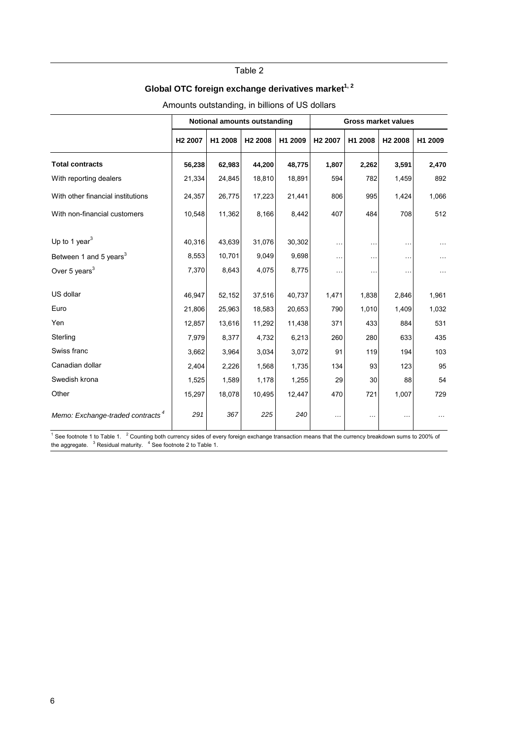## Global OTC foreign exchange derivatives market<sup>1, 2</sup>

|                                              |                     | <b>Notional amounts outstanding</b> |                     |         | <b>Gross market values</b> |           |                     |           |  |  |  |
|----------------------------------------------|---------------------|-------------------------------------|---------------------|---------|----------------------------|-----------|---------------------|-----------|--|--|--|
|                                              | H <sub>2</sub> 2007 | H1 2008                             | H <sub>2</sub> 2008 | H1 2009 | H <sub>2</sub> 2007        | H1 2008   | H <sub>2</sub> 2008 | H1 2009   |  |  |  |
| <b>Total contracts</b>                       | 56,238              | 62,983                              | 44,200              | 48,775  | 1,807                      | 2,262     | 3,591               | 2,470     |  |  |  |
| With reporting dealers                       | 21,334              | 24,845                              | 18,810              | 18,891  | 594                        | 782       | 1,459               | 892       |  |  |  |
| With other financial institutions            | 24,357              | 26,775                              | 17,223              | 21,441  | 806                        | 995       | 1,424               | 1,066     |  |  |  |
| With non-financial customers                 | 10,548              | 11,362                              | 8,166               | 8,442   | 407                        | 484       | 708                 | 512       |  |  |  |
|                                              |                     |                                     |                     |         |                            |           |                     |           |  |  |  |
| Up to 1 year <sup>3</sup>                    | 40,316              | 43,639                              | 31,076              | 30,302  | $\cdots$                   | .         |                     |           |  |  |  |
| Between 1 and 5 years <sup>3</sup>           | 8,553               | 10,701                              | 9,049               | 9,698   | $\ddotsc$                  | $\ddotsc$ | .                   | $\ddotsc$ |  |  |  |
| Over 5 years <sup>3</sup>                    | 7,370               | 8,643                               | 4,075               | 8,775   | $\ddotsc$                  | $\ddotsc$ |                     | $\cdots$  |  |  |  |
| US dollar                                    | 46,947              | 52,152                              | 37,516              | 40,737  | 1,471                      | 1,838     | 2,846               | 1,961     |  |  |  |
| Euro                                         | 21,806              | 25,963                              | 18,583              | 20,653  | 790                        | 1,010     | 1,409               | 1,032     |  |  |  |
| Yen                                          | 12,857              | 13,616                              | 11,292              | 11,438  | 371                        | 433       | 884                 | 531       |  |  |  |
| Sterling                                     | 7,979               | 8,377                               | 4,732               | 6,213   | 260                        | 280       | 633                 | 435       |  |  |  |
| Swiss franc                                  | 3,662               | 3,964                               | 3,034               | 3,072   | 91                         | 119       | 194                 | 103       |  |  |  |
| Canadian dollar                              | 2,404               | 2,226                               | 1,568               | 1,735   | 134                        | 93        | 123                 | 95        |  |  |  |
| Swedish krona                                | 1,525               | 1,589                               | 1,178               | 1,255   | 29                         | 30        | 88                  | 54        |  |  |  |
| Other                                        | 15,297              | 18,078                              | 10,495              | 12,447  | 470                        | 721       | 1,007               | 729       |  |  |  |
| Memo: Exchange-traded contracts <sup>4</sup> | 291                 | 367                                 | 225                 | 240     | $\cdots$                   | .         | .                   |           |  |  |  |

## Amounts outstanding, in billions of US dollars

 $^1$  See footnote 1 to Table 1.  $^2$  Counting both currency sides of every foreign exchange transaction means that the currency breakdown sums to 200% of the aggregate.  $3$  Residual maturity.  $4$  See footnote 2 to Table 1.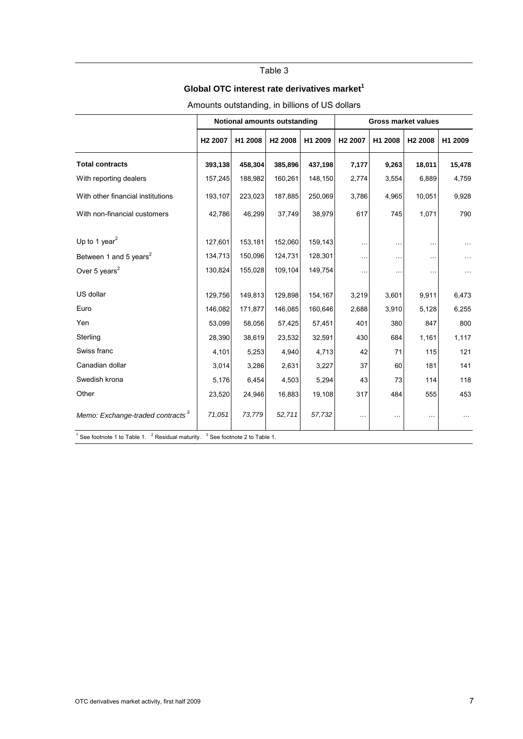## **Global OTC interest rate derivatives market<sup>1</sup>**

|                                                                                                 |                     | Notional amounts outstanding |                     |         | Gross market values |         |                     |          |  |  |  |
|-------------------------------------------------------------------------------------------------|---------------------|------------------------------|---------------------|---------|---------------------|---------|---------------------|----------|--|--|--|
|                                                                                                 | H <sub>2</sub> 2007 | H1 2008                      | H <sub>2</sub> 2008 | H1 2009 | H <sub>2</sub> 2007 | H1 2008 | H <sub>2</sub> 2008 | H1 2009  |  |  |  |
| <b>Total contracts</b>                                                                          | 393,138             | 458,304                      | 385,896             | 437,198 | 7,177               | 9,263   | 18,011              | 15,478   |  |  |  |
| With reporting dealers                                                                          | 157,245             | 188,982                      | 160,261             | 148,150 | 2,774               | 3,554   | 6,889               | 4,759    |  |  |  |
| With other financial institutions                                                               | 193,107             | 223,023                      | 187,885             | 250,069 | 3,786               | 4,965   | 10,051              | 9,928    |  |  |  |
| With non-financial customers                                                                    | 42,786              | 46,299                       | 37,749              | 38,979  | 617                 | 745     | 1,071               | 790      |  |  |  |
| Up to 1 year <sup>2</sup>                                                                       | 127,601             | 153,181                      | 152,060             | 159,143 | .                   |         |                     |          |  |  |  |
| Between 1 and 5 years <sup>2</sup>                                                              | 134,713             | 150,096                      | 124,731             | 128,301 | .                   | .,      | .                   | $\cdots$ |  |  |  |
| Over 5 years <sup>2</sup>                                                                       | 130,824             | 155,028                      | 109,104             | 149,754 |                     |         |                     | $\cdots$ |  |  |  |
| US dollar                                                                                       | 129,756             | 149,813                      | 129,898             | 154,167 | 3,219               | 3,601   | 9,911               | 6,473    |  |  |  |
| Euro                                                                                            | 146,082             | 171,877                      | 146,085             | 160,646 | 2,688               | 3,910   | 5,128               | 6,255    |  |  |  |
| Yen                                                                                             | 53,099              | 58,056                       | 57,425              | 57,451  | 401                 | 380     | 847                 | 800      |  |  |  |
| Sterling                                                                                        | 28,390              | 38,619                       | 23,532              | 32,591  | 430                 | 684     | 1,161               | 1,117    |  |  |  |
| Swiss franc                                                                                     | 4,101               | 5,253                        | 4,940               | 4,713   | 42                  | 71      | 115                 | 121      |  |  |  |
| Canadian dollar                                                                                 | 3,014               | 3,286                        | 2,631               | 3,227   | 37                  | 60      | 181                 | 141      |  |  |  |
| Swedish krona                                                                                   | 5,176               | 6,454                        | 4,503               | 5,294   | 43                  | 73      | 114                 | 118      |  |  |  |
| Other                                                                                           | 23,520              | 24,946                       | 16,883              | 19,108  | 317                 | 484     | 555                 | 453      |  |  |  |
| Memo: Exchange-traded contracts <sup>3</sup>                                                    | 71,051              | 73,779                       | 52,711              | 57,732  | .                   | .       | .                   | $\cdots$ |  |  |  |
| <sup>1</sup> See footnote 1 to Table 1. $^2$ Residual maturity. $^3$ See footnote 2 to Table 1. |                     |                              |                     |         |                     |         |                     |          |  |  |  |

Amounts outstanding, in billions of US dollars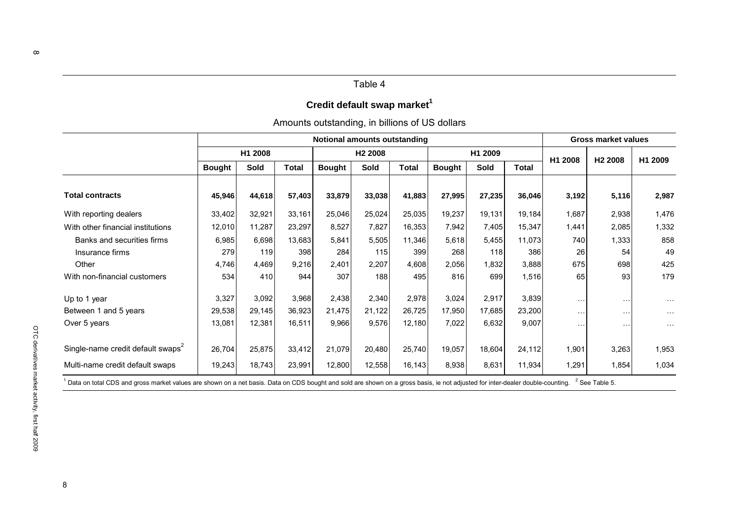## **Credit default swap market<sup>1</sup>**

## Amounts outstanding, in billions of US dollars

|                                                                                                                                                                                 |               |             | <b>Gross market values</b> |               |                     |              |               |             |              |          |                           |                      |
|---------------------------------------------------------------------------------------------------------------------------------------------------------------------------------|---------------|-------------|----------------------------|---------------|---------------------|--------------|---------------|-------------|--------------|----------|---------------------------|----------------------|
|                                                                                                                                                                                 |               | H1 2008     |                            |               | H <sub>2</sub> 2008 |              |               | H1 2009     |              |          |                           |                      |
|                                                                                                                                                                                 | <b>Bought</b> | <b>Sold</b> | <b>Total</b>               | <b>Bought</b> | <b>Sold</b>         | <b>Total</b> | <b>Bought</b> | <b>Sold</b> | <b>Total</b> | H1 2008  | H <sub>2</sub> 2008       | H1 2009              |
| <b>Total contracts</b>                                                                                                                                                          | 45,946        | 44,618      | 57,403                     | 33,879        | 33,038              | 41,883       | 27,995        | 27,235      | 36,046       | 3,192    | 5,116                     | 2,987                |
| With reporting dealers                                                                                                                                                          | 33,402        | 32,921      | 33,161                     | 25,046        | 25,024              | 25,035       | 19,237        | 19,131      | 19,184       | 1,687    | 2,938                     | 1,476                |
| With other financial institutions                                                                                                                                               | 12,010        | 11,287      | 23,297                     | 8,527         | 7,827               | 16,353       | 7,942         | 7,405       | 15,347       | 1,441    | 2,085                     | 1,332                |
| Banks and securities firms                                                                                                                                                      | 6,985         | 6,698       | 13,683                     | 5,841         | 5,505               | 11,346       | 5,618         | 5,455       | 11,073       | 740      | 1,333                     | 858                  |
| Insurance firms                                                                                                                                                                 | 279           | 119         | 398                        | 284           | 115                 | 399          | 268           | 118         | 386          | 26       | 54                        | 49                   |
| Other                                                                                                                                                                           | 4,746         | 4,469       | 9,216                      | 2,401         | 2,207               | 4,608        | 2,056         | 1,832       | 3,888        | 675      | 698                       | 425                  |
| With non-financial customers                                                                                                                                                    | 534           | 410         | 944                        | 307           | 188                 | 495          | 816           | 699         | 1,516        | 65       | 93                        | 179                  |
| Up to 1 year                                                                                                                                                                    | 3,327         | 3,092       | 3,968                      | 2,438         | 2,340               | 2,978        | 3,024         | 2,917       | 3,839        | $\cdots$ | $\ddotsc$                 | $\ldots$             |
| Between 1 and 5 years                                                                                                                                                           | 29,538        | 29,145      | 36,923                     | 21,475        | 21,122              | 26,725       | 17,950        | 17,685      | 23,200       | $\cdots$ | $\ddotsc$                 | $\ldots$             |
| Over 5 years                                                                                                                                                                    | 13,081        | 12,381      | 16,511                     | 9,966         | 9,576               | 12,180       | 7,022         | 6,632       | 9,007        | $\cdots$ | .                         | $\sim$ $\sim$ $\sim$ |
| Single-name credit default swaps <sup>2</sup>                                                                                                                                   | 26,704        | 25,875      | 33,412                     | 21,079        | 20,480              | 25,740       | 19,057        | 18,604      | 24,112       | 1,901    | 3,263                     | 1,953                |
| Multi-name credit default swaps                                                                                                                                                 | 19,243        | 18,743      | 23,991                     | 12,800        | 12,558              | 16,143       | 8,938         | 8,631       | 11,934       | 1,291    | 1,854                     | 1,034                |
| 1 Data on total CDS and gross market values are shown on a net basis. Data on CDS bought and sold are shown on a gross basis, ie not adjusted for inter-dealer double-counting. |               |             |                            |               |                     |              |               |             |              |          | <sup>2</sup> See Table 5. |                      |

 $8$  Orchivatives market activitives market activity, first half  $2000$ OTC derivatives market activity, first half 2009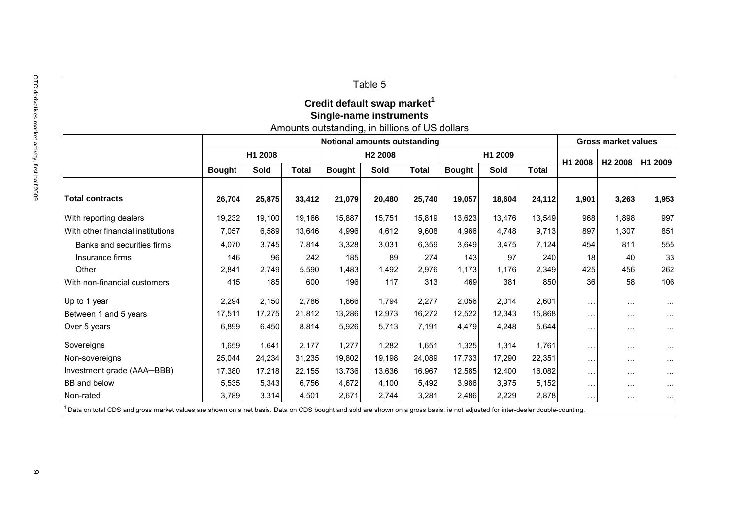|                                                |                                     |         |              | Credit default swap market' |                     |              |               |         |              |                      |                      |          |  |
|------------------------------------------------|-------------------------------------|---------|--------------|-----------------------------|---------------------|--------------|---------------|---------|--------------|----------------------|----------------------|----------|--|
| <b>Single-name instruments</b>                 |                                     |         |              |                             |                     |              |               |         |              |                      |                      |          |  |
| Amounts outstanding, in billions of US dollars |                                     |         |              |                             |                     |              |               |         |              |                      |                      |          |  |
|                                                | <b>Notional amounts outstanding</b> |         |              |                             |                     |              |               |         |              |                      |                      |          |  |
|                                                |                                     | H1 2008 |              |                             | H <sub>2</sub> 2008 |              |               | H1 2009 |              |                      | H <sub>2</sub> 2008  |          |  |
|                                                | <b>Bought</b>                       | Sold    | <b>Total</b> | <b>Bought</b>               | Sold                | <b>Total</b> | <b>Bought</b> | Sold    | <b>Total</b> | H1 2008              |                      | H1 2009  |  |
| <b>Total contracts</b>                         | 26,704                              | 25,875  | 33,412       | 21,079                      | 20,480              | 25,740       | 19,057        | 18,604  | 24,112       | 1,901                | 3,263                | 1,953    |  |
| With reporting dealers                         | 19,232                              | 19,100  | 19,166       | 15,887                      | 15,751              | 15,819       | 13,623        | 13,476  | 13,549       | 968                  | 1,898                | 997      |  |
| With other financial institutions              | 7,057                               | 6,589   | 13,646       | 4,996                       | 4,612               | 9,608        | 4,966         | 4,748   | 9,713        | 897                  | 1,307                | 851      |  |
| Banks and securities firms                     | 4,070                               | 3,745   | 7,814        | 3,328                       | 3,031               | 6,359        | 3,649         | 3,475   | 7,124        | 454                  | 811                  | 555      |  |
| Insurance firms                                | 146                                 | 96      | 242          | 185                         | 89                  | 274          | 143           | 97      | 240          | 18                   | 40                   | 33       |  |
| Other                                          | 2,841                               | 2,749   | 5,590        | 1.483                       | 1,492               | 2,976        | 1,173         | 1.176   | 2,349        | 425                  | 456                  | 262      |  |
| With non-financial customers                   | 415                                 | 185     | 600          | 196                         | 117                 | 313          | 469           | 381     | 850          | 36                   | 58                   | 106      |  |
| Up to 1 year                                   | 2,294                               | 2,150   | 2,786        | 1,866                       | 1,794               | 2,277        | 2,056         | 2,014   | 2,601        | $\cdots$             | .                    | $\cdots$ |  |
| Between 1 and 5 years                          | 17,511                              | 17,275  | 21,812       | 13,286                      | 12,973              | 16,272       | 12,522        | 12,343  | 15,868       | $\cdots$             | $\cdots$             | $\cdots$ |  |
| Over 5 years                                   | 6,899                               | 6,450   | 8,814        | 5,926                       | 5,713               | 7,191        | 4,479         | 4,248   | 5,644        | $\sim$ $\sim$ $\sim$ | $\cdots$             | $\cdots$ |  |
| Sovereigns                                     | 1,659                               | 1,641   | 2,177        | 1,277                       | 1,282               | 1,651        | 1,325         | 1,314   | 1,761        | $\cdots$             | $\cdots$             | $\cdots$ |  |
| Non-sovereigns                                 | 25,044                              | 24,234  | 31,235       | 19,802                      | 19,198              | 24,089       | 17,733        | 17,290  | 22,351       | $\cdots$             | $\cdots$             | $\cdots$ |  |
| Investment grade (AAA-BBB)                     | 17,380                              | 17,218  | 22,155       | 13,736                      | 13,636              | 16,967       | 12,585        | 12,400  | 16,082       | $\cdots$             | $\cdots$             | $\cdots$ |  |
| <b>BB</b> and below                            | 5,535                               | 5,343   | 6.756        | 4,672                       | 4,100               | 5,492        | 3,986         | 3,975   | 5,152        | $\sim$ $\sim$ $\sim$ | $\cdots$             | $\cdots$ |  |
| Non-rated                                      | 3,789                               | 3,314   | 4,501        | 2,671                       | 2,744               | 3,281        | 2,486         | 2,229   | 2,878        | $\sim$ $\sim$ $\sim$ | $\sim$ $\sim$ $\sim$ | $\cdots$ |  |

<sup>1</sup> Data on total CDS and gross market values are shown on a net basis. Data on CDS bought and sold are shown on a gross basis, ie not adjusted for inter-dealer double-counting.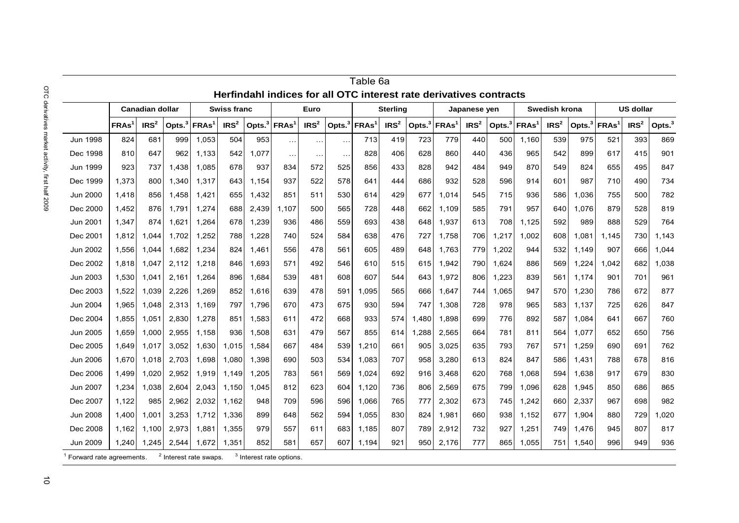|                                                                    | Table 6a                                                                                    |                        |                    |         |                    |                    |                      |                  |                    |                   |                  |                    |             |                  |           |               |                  |                    |                   |                  |           |  |
|--------------------------------------------------------------------|---------------------------------------------------------------------------------------------|------------------------|--------------------|---------|--------------------|--------------------|----------------------|------------------|--------------------|-------------------|------------------|--------------------|-------------|------------------|-----------|---------------|------------------|--------------------|-------------------|------------------|-----------|--|
| Herfindahl indices for all OTC interest rate derivatives contracts |                                                                                             |                        |                    |         |                    |                    |                      |                  |                    |                   |                  |                    |             |                  |           |               |                  |                    |                   |                  |           |  |
|                                                                    |                                                                                             | <b>Canadian dollar</b> |                    |         | <b>Swiss franc</b> |                    |                      | Euro             |                    |                   | <b>Sterling</b>  |                    |             | Japanese yen     |           | Swedish krona |                  |                    |                   | US dollar        |           |  |
|                                                                    | <b>FRAs</b>                                                                                 | IRS <sup>2</sup>       | Opts. <sup>3</sup> | $RAS^1$ | $\text{IRS}^2$     | Opts. <sup>3</sup> | FRAs <sup>1</sup>    | IRS <sup>2</sup> | Opts. <sup>3</sup> | FRAs <sup>1</sup> | IRS <sup>2</sup> | Opts. <sup>3</sup> | <b>FRAs</b> | IRS <sup>2</sup> | Opts. $3$ | <b>FRAs</b>   | IRS <sup>2</sup> | Opts. <sup>3</sup> | FRAs <sup>1</sup> | IRS <sup>2</sup> | Opts. $3$ |  |
| <b>Jun 1998</b>                                                    | 824                                                                                         | 681                    | 999                | 1,053   | 504                | 953                | $\sim$ $\sim$ $\sim$ | $\cdots$         | $\sim$ $\sim$      | 713               | 419              | 723                | 779         | 440              | 500       | 1.160         | 539              | 975                | 521               | 393              | 869       |  |
| Dec 1998                                                           | 810                                                                                         | 647                    | 962                | 1,133   | 542                | ,077<br>-1         | $\ddotsc$            | $\sim$ $\sim$    | $\sim$ $\sim$      | 828               | 406              | 628                | 860         | 440              | 436       | 965           | 542              | 899                | 617               | 415              | 901       |  |
| Jun 1999                                                           | 923                                                                                         | 737                    | 1,438              | 1,085   | 678                | 937                | 834                  | 572              | 525                | 856               | 433              | 828                | 942         | 484              | 949       | 870           | 549              | 824                | 655               | 495              | 847       |  |
| Dec 1999                                                           | 1,373                                                                                       | 800                    | 1,340              | 1,317   | 643                | 1,154              | 937                  | 522              | 578                | 641               | 444              | 686                | 932         | 528              | 596       | 914           | 601              | 987                | 710               | 490              | 734       |  |
| Jun 2000                                                           | 1,418                                                                                       | 856                    | 1,458              | 1,421   | 655                | 1,432              | 851                  | 511              | 530                | 614               | 429              | 677                | 1,014       | 545              | 715       | 936           | 586              | 1,036              | 755               | 500              | 782       |  |
| Dec 2000                                                           | 1.452                                                                                       | 876                    | 1,791              | 1,274   | 688                | 2,439              | 1.107                | 500              | 565                | 728               | 448              | 662                | 1.109       | 585              | 791       | 957           | 640              | 1.076              | 879               | 528              | 819       |  |
| Jun 2001                                                           | 1.347                                                                                       | 874                    | 1,621              | 1,264   | 678                | 1,239              | 936                  | 486              | 559                | 693               | 438              | 648                | 1,937       | 613              | 708       | 1.125         | 592              | 989                | 888               | 529              | 764       |  |
| Dec 2001                                                           | 1,812                                                                                       | 1.044                  | 1,702              | 1,252   | 788                | 1,228              | 740                  | 524              | 584                | 638               | 476              | 727                | 1.758       | 706              | 1,217     | 1,002         | 608              | 1.081              | 1.145             | 730              | 1.143     |  |
| Jun 2002                                                           | 1,556                                                                                       | 1,044                  | 1,682              | 1,234   | 824                | 1,461              | 556                  | 478              | 561                | 605               | 489              | 648                | 1,763       | 779              | 1,202     | 944           | 532              | 1,149              | 907               | 666              | 1,044     |  |
| Dec 2002                                                           | 1,818                                                                                       | 1,047                  | 2,112              | 1,218   | 846                | 1,693              | 571                  | 492              | 546                | 610               | 515              | 615                | 1,942       | 790              | 1,624     | 886           | 569              | 1,224              | 1,042             | 682              | 1,038     |  |
| Jun 2003                                                           | 1,530                                                                                       | 1,041                  | 2,161              | 1,264   | 896                | 1,684              | 539                  | 481              | 608                | 607               | 544              | 643                | 1,972       | 806              | 1,223     | 839           | 561              | 1,174              | 901               | 701              | 961       |  |
| Dec 2003                                                           | 1,522                                                                                       | 1,039                  | 2,226              | 1,269   | 852                | 1,616              | 639                  | 478              | 591                | ,095<br>1         | 565              | 666                | 1,647       | 744              | 1.065     | 947           | 570              | 1,230              | 786               | 672              | 877       |  |
| Jun 2004                                                           | 1.965                                                                                       | 1,048                  | 2,313              | 1.169   | 797                | 1,796              | 670                  | 473              | 675                | 930               | 594              | 747                | 1,308       | 728              | 978       | 965           | 583              | 1,137              | 725               | 626              | 847       |  |
| Dec 2004                                                           | 1,855                                                                                       | 1.051                  | 2,830              | 1,278   | 851                | 1.583              | 611                  | 472              | 668                | 933               | 574              | 1,480              | 1,898       | 699              | 776       | 892           | 587              | 1,084              | 641               | 667              | 760       |  |
| Jun 2005                                                           | 1.659                                                                                       | 1.000                  | 2.955              | 1.158   | 936                | 1.508              | 631                  | 479              | 567                | 855               | 614              | 1,288              | 2,565       | 664              | 781       | 811           | 564              | 1.077              | 652               | 650              | 756       |  |
| Dec 2005                                                           | 1,649                                                                                       | 1,017                  | 3,052              | 1,630   | 1,015              | 1,584              | 667                  | 484              | 539                | 1,210             | 661              | 905                | 3,025       | 635              | 793       | 767           | 571              | 1,259              | 690               | 691              | 762       |  |
| Jun 2006                                                           | 1,670                                                                                       | 1,018                  | 2,703              | 1,698   | 1,080              | 1,398              | 690                  | 503              | 534                | 1,083             | 707              | 958                | 3,280       | 613              | 824       | 847           | 586              | 1,431              | 788               | 678              | 816       |  |
| Dec 2006                                                           | 1,499                                                                                       | 1,020                  | 2,952              | 1,919   | 1,149              | 1,205              | 783                  | 561              | 569                | 1.024             | 692              | 916                | 3,468       | 620              | 768       | 1.068         | 594              | 1.638              | 917               | 679              | 830       |  |
| Jun 2007                                                           | 1,234                                                                                       | 1,038                  | 2,604              | 2,043   | 1,150              | 1,045              | 812                  | 623              | 604                | 1,120             | 736              | 806                | 2,569       | 675              | 799       | 1,096         | 628              | 1,945              | 850               | 686              | 865       |  |
| Dec 2007                                                           | 1,122                                                                                       | 985                    | 2,962              | 2,032   | 1,162              | 948                | 709                  | 596              | 596                | 1.066             | 765              | 777                | 2,302       | 673              | 745       | 1,242         | 660              | 2,337              | 967               | 698              | 982       |  |
| Jun 2008                                                           | 1.400                                                                                       | 1,001                  | 3,253              | 1,712   | 1,336              | 899                | 648                  | 562              | 594                | 1.055             | 830              | 824                | 1,981       | 660              | 938       | 1,152         | 677              | 1,904              | 880               | 729              | 1,020     |  |
| Dec 2008                                                           | 1,162                                                                                       | 1.100                  | 2,973              | 1,881   | 1,355              | 979                | 557                  | 611              | 683                | 1.185             | 807              | 789                | 2,912       | 732              | 927       | 1,251         | 749              | 1.476              | 945               | 807              | 817       |  |
| <b>Jun 2009</b>                                                    | 1,240                                                                                       | 1,245                  | 2,544              | 1,672   | 1,351              | 852                | 581                  | 657              | 607                | 1,194             | 921              | 950                | 2,176       | 777              | 865       | 1,055         | 751              | 1,540              | 996               | 949              | 936       |  |
|                                                                    | <sup>2</sup> Interest rate swaps.<br>$3$ Interest rate options.<br>Forward rate agreements. |                        |                    |         |                    |                    |                      |                  |                    |                   |                  |                    |             |                  |           |               |                  |                    |                   |                  |           |  |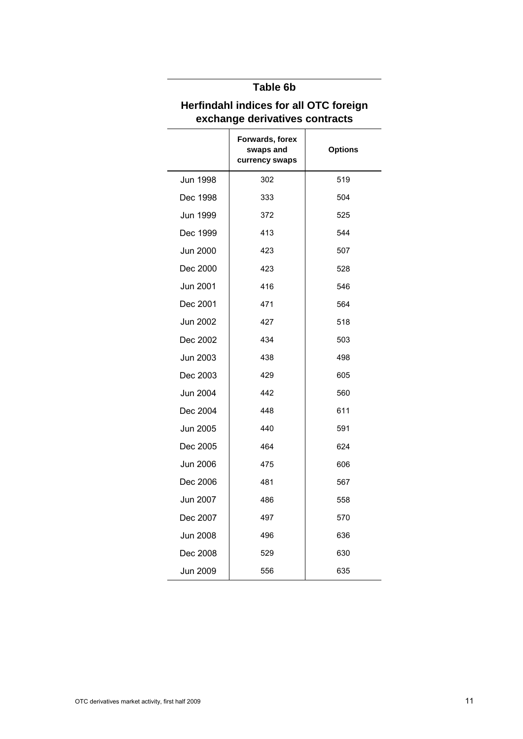|                 | Forwards, forex<br>swaps and<br>currency swaps | <b>Options</b> |
|-----------------|------------------------------------------------|----------------|
| <b>Jun 1998</b> | 302                                            | 519            |
| Dec 1998        | 333                                            | 504            |
| <b>Jun 1999</b> | 372                                            | 525            |
| Dec 1999        | 413                                            | 544            |
| Jun 2000        | 423                                            | 507            |
| Dec 2000        | 423                                            | 528            |
| Jun 2001        | 416                                            | 546            |
| Dec 2001        | 471                                            | 564            |
| Jun 2002        | 427                                            | 518            |
| Dec 2002        | 434                                            | 503            |
| Jun 2003        | 438                                            | 498            |
| Dec 2003        | 429                                            | 605            |
| Jun 2004        | 442                                            | 560            |
| Dec 2004        | 448                                            | 611            |
| Jun 2005        | 440                                            | 591            |
| Dec 2005        | 464                                            | 624            |
| Jun 2006        | 475                                            | 606            |
| Dec 2006        | 481                                            | 567            |
| Jun 2007        | 486                                            | 558            |
| Dec 2007        | 497                                            | 570            |
| <b>Jun 2008</b> | 496                                            | 636            |
| Dec 2008        | 529                                            | 630            |
| Jun 2009        | 556                                            | 635            |

# **Table 6b**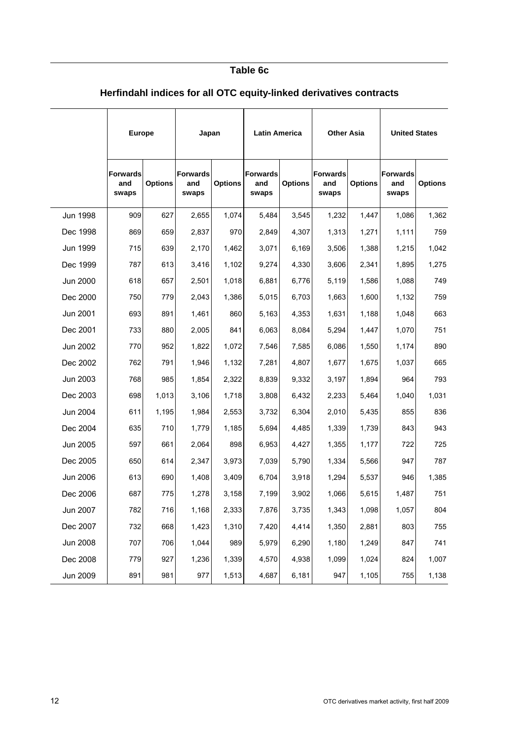## **Table 6c**

## **Herfindahl indices for all OTC equity-linked derivatives contracts**

|                 | <b>Europe</b>                   |                | Japan                           |                | <b>Latin America</b>            |                | <b>Other Asia</b>               |                | <b>United States</b>            |                |  |
|-----------------|---------------------------------|----------------|---------------------------------|----------------|---------------------------------|----------------|---------------------------------|----------------|---------------------------------|----------------|--|
|                 | <b>Forwards</b><br>and<br>swaps | <b>Options</b> | <b>Forwards</b><br>and<br>swaps | <b>Options</b> | <b>Forwards</b><br>and<br>swaps | <b>Options</b> | <b>Forwards</b><br>and<br>swaps | <b>Options</b> | <b>Forwards</b><br>and<br>swaps | <b>Options</b> |  |
| <b>Jun 1998</b> | 909                             | 627            | 2,655                           | 1,074          | 5,484                           | 3,545          | 1,232                           | 1,447          | 1,086                           | 1,362          |  |
| Dec 1998        | 869                             | 659            | 2,837                           | 970            | 2,849                           | 4,307          | 1,313                           | 1,271          | 1,111                           | 759            |  |
| Jun 1999        | 715                             | 639            | 2,170                           | 1,462          | 3,071                           | 6,169          | 3,506                           | 1,388          | 1,215                           | 1,042          |  |
| Dec 1999        | 787                             | 613            | 3,416                           | 1,102          | 9,274                           | 4,330          | 3,606                           | 2,341          | 1,895                           | 1,275          |  |
| Jun 2000        | 618                             | 657            | 2,501                           | 1,018          | 6,881                           | 6,776          | 5,119                           | 1,586          | 1,088                           | 749            |  |
| Dec 2000        | 750                             | 779            | 2,043                           | 1,386          | 5,015                           | 6,703          | 1,663                           | 1,600          | 1,132                           | 759            |  |
| Jun 2001        | 693                             | 891            | 1,461                           | 860            | 5,163                           | 4,353          | 1,631                           | 1,188          | 1,048                           | 663            |  |
| Dec 2001        | 733                             | 880            | 2,005                           | 841            | 6,063                           | 8,084          | 5,294                           | 1,447          | 1,070                           | 751            |  |
| Jun 2002        | 770                             | 952            | 1,822                           | 1,072          | 7,546                           | 7,585          | 6,086                           | 1,550          | 1,174                           | 890            |  |
| Dec 2002        | 762                             | 791            | 1,946                           | 1,132          | 7,281                           | 4,807          | 1,677                           | 1,675          | 1,037                           | 665            |  |
| Jun 2003        | 768                             | 985            | 1,854                           | 2,322          | 8,839                           | 9,332          | 3,197                           | 1,894          | 964                             | 793            |  |
| Dec 2003        | 698                             | 1,013          | 3,106                           | 1,718          | 3,808                           | 6,432          | 2,233                           | 5,464          | 1,040                           | 1,031          |  |
| Jun 2004        | 611                             | 1,195          | 1,984                           | 2,553          | 3,732                           | 6,304          | 2,010                           | 5,435          | 855                             | 836            |  |
| Dec 2004        | 635                             | 710            | 1,779                           | 1,185          | 5,694                           | 4,485          | 1,339                           | 1,739          | 843                             | 943            |  |
| Jun 2005        | 597                             | 661            | 2,064                           | 898            | 6,953                           | 4,427          | 1,355                           | 1,177          | 722                             | 725            |  |
| Dec 2005        | 650                             | 614            | 2,347                           | 3,973          | 7,039                           | 5,790          | 1,334                           | 5,566          | 947                             | 787            |  |
| Jun 2006        | 613                             | 690            | 1,408                           | 3,409          | 6,704                           | 3,918          | 1,294                           | 5,537          | 946                             | 1,385          |  |
| Dec 2006        | 687                             | 775            | 1,278                           | 3,158          | 7,199                           | 3,902          | 1,066                           | 5,615          | 1,487                           | 751            |  |
| Jun 2007        | 782                             | 716            | 1,168                           | 2,333          | 7,876                           | 3,735          | 1,343                           | 1,098          | 1,057                           | 804            |  |
| Dec 2007        | 732                             | 668            | 1,423                           | 1,310          | 7,420                           | 4,414          | 1,350                           | 2,881          | 803                             | 755            |  |
| <b>Jun 2008</b> | 707                             | 706            | 1,044                           | 989            | 5,979                           | 6,290          | 1,180                           | 1,249          | 847                             | 741            |  |
| Dec 2008        | 779                             | 927            | 1,236                           | 1,339          | 4,570                           | 4,938          | 1,099                           | 1,024          | 824                             | 1,007          |  |
| Jun 2009        | 891                             | 981            | 977                             | 1,513          | 4,687                           | 6,181          | 947                             | 1,105          | 755                             | 1,138          |  |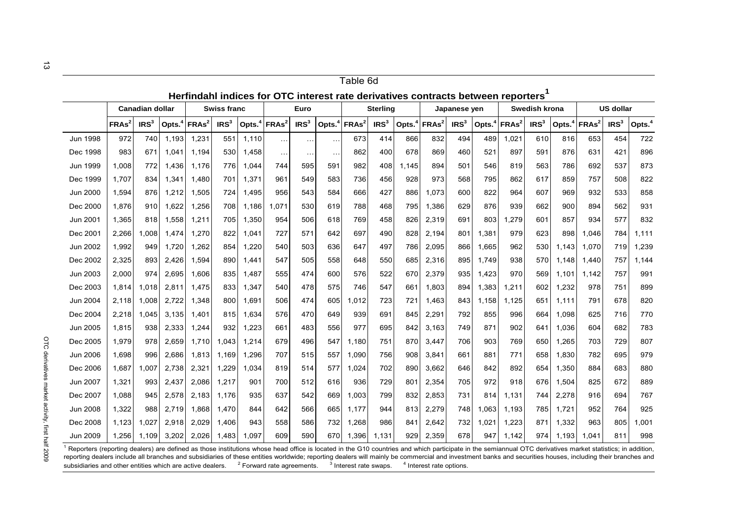|                                                                                                                                                                                                           | Table 6d          |                        |                    |                   |                    |                    |                   |                      |                    |                                                                                  |                  |                    |                   |                  |                    |                   |                  |           |                   |                  |                    |
|-----------------------------------------------------------------------------------------------------------------------------------------------------------------------------------------------------------|-------------------|------------------------|--------------------|-------------------|--------------------|--------------------|-------------------|----------------------|--------------------|----------------------------------------------------------------------------------|------------------|--------------------|-------------------|------------------|--------------------|-------------------|------------------|-----------|-------------------|------------------|--------------------|
|                                                                                                                                                                                                           |                   |                        |                    |                   |                    |                    |                   |                      |                    | Herfindahl indices for OTC interest rate derivatives contracts between reporters |                  |                    |                   |                  |                    |                   |                  |           |                   |                  |                    |
|                                                                                                                                                                                                           |                   | <b>Canadian dollar</b> |                    |                   | <b>Swiss franc</b> |                    |                   | Euro                 |                    |                                                                                  | <b>Sterling</b>  |                    |                   | Japanese yen     |                    |                   | Swedish krona    |           |                   | <b>US dollar</b> |                    |
|                                                                                                                                                                                                           | FRAs <sup>2</sup> | IRS <sup>3</sup>       | Opts. <sup>4</sup> | FRAs <sup>2</sup> | IRS <sup>3</sup>   | Opts. <sup>4</sup> | FRAs <sup>2</sup> | IRS <sup>3</sup>     | Opts. <sup>4</sup> | FRAs <sup>2</sup>                                                                | IRS <sup>3</sup> | Opts. <sup>4</sup> | FRAs <sup>2</sup> | IRS <sup>3</sup> | Opts. <sup>4</sup> | FRAs <sup>2</sup> | IRS <sup>3</sup> | Opts. $4$ | FRAs <sup>2</sup> | IRS <sup>3</sup> | Opts. <sup>4</sup> |
| <b>Jun 1998</b>                                                                                                                                                                                           | 972               | 740                    | 1,193              | 1,231             | 551                | 1,110              | $\ddotsc$         | $\sim$ $\sim$ $\sim$ | $\sim 100$         | 673                                                                              | 414              | 866                | 832               | 494              | 489                | 1.021             | 610              | 816       | 653               | 454              | 722                |
| Dec 1998                                                                                                                                                                                                  | 983               | 671                    | 1,041              | 1.194             | 530                | 1,458              | $\ldots$          | $\sim$ $\sim$ $\sim$ | $\ddotsc$          | 862                                                                              | 400              | 678                | 869               | 460              | 521                | 897               | 591              | 876       | 631               | 421              | 896                |
| Jun 1999                                                                                                                                                                                                  | 1.008             | 772                    | 1,436              | 1.176             | 776                | 1,044              | 744               | 595                  | 591                | 982                                                                              | 408              | 1.145              | 894               | 501              | 546                | 819               | 563              | 786       | 692               | 537              | 873                |
| Dec 1999                                                                                                                                                                                                  | 1.707             | 834                    | 1,341              | 1.480             | 701                | 1,371              | 961               | 549                  | 583                | 736                                                                              | 456              | 928                | 973               | 568              | 795                | 862               | 617              | 859       | 757               | 508              | 822                |
| Jun 2000                                                                                                                                                                                                  | 1,594             | 876                    | 1,212              | 1,505             | 724                | 1,495              | 956               | 543                  | 584                | 666                                                                              | 427              | 886                | 1,073             | 600              | 822                | 964               | 607              | 969       | 932               | 533              | 858                |
| Dec 2000                                                                                                                                                                                                  | 1,876             | 910                    | 1,622              | 1,256             | 708                | 1,186              | 1,071             | 530                  | 619                | 788                                                                              | 468              | 795                | 1,386             | 629              | 876                | 939               | 662              | 900       | 894               | 562              | 931                |
| Jun 2001                                                                                                                                                                                                  | 1,365             | 818                    | 1,558              | 1,211             | 705                | 1,350              | 954               | 506                  | 618                | 769                                                                              | 458              | 826                | 2,319             | 691              | 803                | 1,279             | 601              | 857       | 934               | 577              | 832                |
| Dec 2001                                                                                                                                                                                                  | 2,266             | 1.008                  | 1,474              | 1,270             | 822                | 1,041              | 727               | 571                  | 642                | 697                                                                              | 490              | 828                | 2,194             | 801              | 1,381              | 979               | 623              | 898       | 1,046             | 784              | 1,111              |
| Jun 2002                                                                                                                                                                                                  | 1,992             | 949                    | 1,720              | 1,262             | 854                | 1,220              | 540               | 503                  | 636                | 647                                                                              | 497              | 786                | 2,095             | 866              | 1,665              | 962               | 530              | 1,143     | 1,070             | 719              | 1,239              |
| Dec 2002                                                                                                                                                                                                  | 2.325             | 893                    | 2,426              | 1.594             | 890                | 1,441              | 547               | 505                  | 558                | 648                                                                              | 550              | 685                | 2.316             | 895              | 1.749              | 938               | 570              | 1.148     | 1.440             | 757              | 1.144              |
| Jun 2003                                                                                                                                                                                                  | 2.000             | 974                    | 2.695              | 1.606             | 835                | 1.487              | 555               | 474                  | 600                | 576                                                                              | 522              | 670                | 2.379             | 935              | 1.423              | 970               | 569              | 1.101     | 1.142             | 757              | 991                |
| Dec 2003                                                                                                                                                                                                  | 1.814             | 1,018                  | 2,811              | 1.475             | 833                | 1,347              | 540               | 478                  | 575                | 746                                                                              | 547              | 661                | 1,803             | 894              | 1.383              | 1,211             | 602              | 1,232     | 978               | 751              | 899                |
| Jun 2004                                                                                                                                                                                                  | 2.118             | 1,008                  | 2,722              | 1,348             | 800                | 1,691              | 506               | 474                  | 605                | 1.012                                                                            | 723              | 721                | 1,463             | 843              | 1.158              | 1.125             | 651              | 1,111     | 791               | 678              | 820                |
| Dec 2004                                                                                                                                                                                                  | 2.218             | 1,045                  | 3,135              | 1.401             | 815                | 1,634              | 576               | 470                  | 649                | 939                                                                              | 691              | 845                | 2,291             | 792              | 855                | 996               | 664              | 1.098     | 625               | 716              | 770                |
| Jun 2005                                                                                                                                                                                                  | 1,815             | 938                    | 2,333              | 1,244             | 932                | 1,223              | 661               | 483                  | 556                | 977                                                                              | 695              | 842                | 3,163             | 749              | 871                | 902               | 641              | 1,036     | 604               | 682              | 783                |
| Dec 2005                                                                                                                                                                                                  | 1.979             | 978                    | 2,659              | 1.710             | 1.043              | 1,214              | 679               | 496                  | 547                | 1.180                                                                            | 751              | 870                | 3,447             | 706              | 903                | 769               | 650              | 1,265     | 703               | 729              | 807                |
| Jun 2006                                                                                                                                                                                                  | 1.698             | 996                    | 2,686              | 1,813             | 1.169              | 1,296              | 707               | 515                  | 557                | 1.090                                                                            | 756              | 908                | 3.841             | 661              | 881                | 771               | 658              | 1.830     | 782               | 695              | 979                |
| Dec 2006                                                                                                                                                                                                  | 1,687             | 1,007                  | 2,738              | 2,321             | 1,229              | 1,034              | 819               | 514                  | 577                | 1,024                                                                            | 702              | 890                | 3,662             | 646              | 842                | 892               | 654              | 1,350     | 884               | 683              | 880                |
| Jun 2007                                                                                                                                                                                                  | 1,321             | 993                    | 2,437              | 2,086             | 1,217              | 901                | 700               | 512                  | 616                | 936                                                                              | 729              | 801                | 2,354             | 705              | 972                | 918               | 676              | 1,504     | 825               | 672              | 889                |
| Dec 2007                                                                                                                                                                                                  | 1,088             | 945                    | 2,578              | 2,183             | 1,176              | 935                | 637               | 542                  | 669                | 1,003                                                                            | 799              | 832                | 2,853             | 731              | 814                | 1,131             | 744              | 2,278     | 916               | 694              | 767                |
| <b>Jun 2008</b>                                                                                                                                                                                           | 1,322             | 988                    | 2,719              | 1,868             | 1,470              | 844                | 642               | 566                  | 665                | 1,177                                                                            | 944              | 813                | 2,279             | 748              | 1,063              | 1,193             | 785              | 1,721     | 952               | 764              | 925                |
| Dec 2008                                                                                                                                                                                                  | 1,123             | 1.027                  | 2,918              | 2,029             | 1.406              | 943                | 558               | 586                  | 732                | 1,268                                                                            | 986              | 841                | 2,642             | 732              | 1.021              | 1,223             | 871              | 1,332     | 963               | 805              | 1.001              |
| Jun 2009                                                                                                                                                                                                  | 1.256             | 1.109                  | 3.202              | 2,026             | 1,483              | 1.097              | 609               | 590                  | 670                | 1.396                                                                            | 1,131            | 929                | 2,359             | 678              | 947                | 1,142             | 974              | 1.193     | .041<br>1         | 811              | 998                |
| Reporters (reporting dealers) are defined as those institutions whose head office is located in the G10 countries and which participate in the semiannual OTC derivatives market statistics: in addition. |                   |                        |                    |                   |                    |                    |                   |                      |                    |                                                                                  |                  |                    |                   |                  |                    |                   |                  |           |                   |                  |                    |

Preporters (reporting dealers) are defined as those institutions whose head office is located in the G10 countries and which participate in the semiannual OTC derivatives market statistics; in addition, reporting dealers include all branches and subsidiaries of these entities worldwide; reporting dealers will mainly be commercial and investment banks and securities houses, including their branches and subsidiaries and other entities which are active dealers.  $2\,$  Forward rate agreements.  $3\,$  Interest rate swaps.  $4\,$  Interest rate options.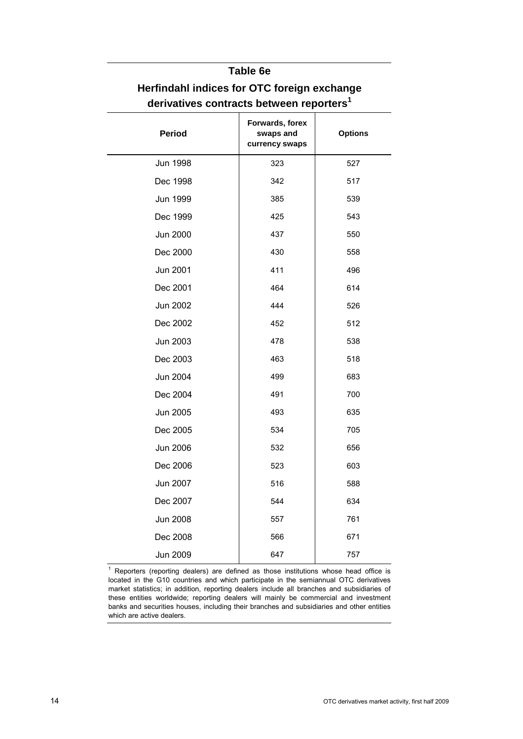#### **Table 6e**

| <b>Period</b>   | Forwards, forex<br>swaps and<br>currency swaps | <b>Options</b> |
|-----------------|------------------------------------------------|----------------|
| <b>Jun 1998</b> | 323                                            | 527            |
| Dec 1998        | 342                                            | 517            |
| Jun 1999        | 385                                            | 539            |
| Dec 1999        | 425                                            | 543            |
| <b>Jun 2000</b> | 437                                            | 550            |
| Dec 2000        | 430                                            | 558            |
| Jun 2001        | 411                                            | 496            |
| Dec 2001        | 464                                            | 614            |
| <b>Jun 2002</b> | 444                                            | 526            |
| Dec 2002        | 452                                            | 512            |
| Jun 2003        | 478                                            | 538            |
| Dec 2003        | 463                                            | 518            |
| Jun 2004        | 499                                            | 683            |
| Dec 2004        | 491                                            | 700            |
| Jun 2005        | 493                                            | 635            |
| Dec 2005        | 534                                            | 705            |
| Jun 2006        | 532                                            | 656            |
| Dec 2006        | 523                                            | 603            |
| Jun 2007        | 516                                            | 588            |
| Dec 2007        | 544                                            | 634            |
| <b>Jun 2008</b> | 557                                            | 761            |
| Dec 2008        | 566                                            | 671            |
| Jun 2009        | 647                                            | 757            |

## **Herfindahl indices for OTC foreign exchange derivatives contracts between reporters<sup>1</sup>**

 $1$  Reporters (reporting dealers) are defined as those institutions whose head office is located in the G10 countries and which participate in the semiannual OTC derivatives market statistics; in addition, reporting dealers include all branches and subsidiaries of these entities worldwide; reporting dealers will mainly be commercial and investment banks and securities houses, including their branches and subsidiaries and other entities which are active dealers.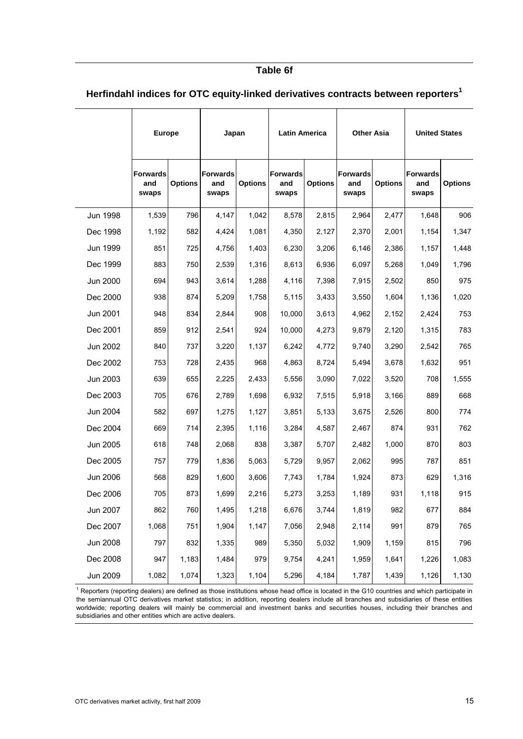#### **Table 6f**

| Herfindahl indices for OTC equity-linked derivatives contracts between reporters <sup>1</sup> |  |  |  |  |  |  |  |  |
|-----------------------------------------------------------------------------------------------|--|--|--|--|--|--|--|--|
|                                                                                               |  |  |  |  |  |  |  |  |

|                 | <b>Europe</b>                   |                | Japan                           |                | <b>Latin America</b>            |                | <b>Other Asia</b>               |                | <b>United States</b>            |                |  |
|-----------------|---------------------------------|----------------|---------------------------------|----------------|---------------------------------|----------------|---------------------------------|----------------|---------------------------------|----------------|--|
|                 | <b>Forwards</b><br>and<br>swaps | <b>Options</b> | <b>Forwards</b><br>and<br>swaps | <b>Options</b> | <b>Forwards</b><br>and<br>swaps | <b>Options</b> | <b>Forwards</b><br>and<br>swaps | <b>Options</b> | <b>Forwards</b><br>and<br>swaps | <b>Options</b> |  |
| <b>Jun 1998</b> | 1,539                           | 796            | 4,147                           | 1,042          | 8,578                           | 2,815          | 2,964                           | 2.477          | 1,648                           | 906            |  |
| Dec 1998        | 1,192                           | 582            | 4,424                           | 1,081          | 4,350                           | 2,127          | 2,370                           | 2,001          | 1,154                           | 1,347          |  |
| Jun 1999        | 851                             | 725            | 4,756                           | 1,403          | 6,230                           | 3,206          | 6,146                           | 2,386          | 1,157                           | 1,448          |  |
| Dec 1999        | 883                             | 750            | 2,539                           | 1,316          | 8,613                           | 6,936          | 6,097                           | 5,268          | 1,049                           | 1,796          |  |
| Jun 2000        | 694                             | 943            | 3,614                           | 1,288          | 4,116                           | 7,398          | 7,915                           | 2,502          | 850                             | 975            |  |
| Dec 2000        | 938                             | 874            | 5,209                           | 1,758          | 5,115                           | 3,433          | 3,550                           | 1,604          | 1,136                           | 1,020          |  |
| Jun 2001        | 948                             | 834            | 2,844                           | 908            | 10,000                          | 3,613          | 4,962                           | 2,152          | 2,424                           | 753            |  |
| Dec 2001        | 859                             | 912            | 2,541                           | 924            | 10,000                          | 4,273          | 9,879                           | 2,120          | 1,315                           | 783            |  |
| Jun 2002        | 840                             | 737            | 3,220                           | 1,137          | 6,242                           | 4,772          | 9,740                           | 3,290          | 2,542                           | 765            |  |
| Dec 2002        | 753                             | 728            | 2,435                           | 968            | 4,863                           | 8,724          | 5,494                           | 3,678          | 1,632                           | 951            |  |
| Jun 2003        | 639                             | 655            | 2,225                           | 2,433          | 5,556                           | 3,090          | 7,022                           | 3,520          | 708                             | 1,555          |  |
| Dec 2003        | 705                             | 676            | 2,789                           | 1,698          | 6,932                           | 7,515          | 5,918                           | 3,166          | 889                             | 668            |  |
| Jun 2004        | 582                             | 697            | 1,275                           | 1,127          | 3,851                           | 5,133          | 3,675                           | 2,526          | 800                             | 774            |  |
| Dec 2004        | 669                             | 714            | 2,395                           | 1,116          | 3,284                           | 4,587          | 2,467                           | 874            | 931                             | 762            |  |
| Jun 2005        | 618                             | 748            | 2,068                           | 838            | 3,387                           | 5,707          | 2,482                           | 1,000          | 870                             | 803            |  |
| Dec 2005        | 757                             | 779            | 1,836                           | 5,063          | 5,729                           | 9,957          | 2,062                           | 995            | 787                             | 851            |  |
| Jun 2006        | 568                             | 829            | 1,600                           | 3,606          | 7,743                           | 1,784          | 1,924                           | 873            | 629                             | 1,316          |  |
| Dec 2006        | 705                             | 873            | 1,699                           | 2,216          | 5,273                           | 3,253          | 1,189                           | 931            | 1,118                           | 915            |  |
| Jun 2007        | 862                             | 760            | 1,495                           | 1,218          | 6,676                           | 3,744          | 1,819                           | 982            | 677                             | 884            |  |
| Dec 2007        | 1,068                           | 751            | 1,904                           | 1,147          | 7,056                           | 2,948          | 2,114                           | 991            | 879                             | 765            |  |
| <b>Jun 2008</b> | 797                             | 832            | 1,335                           | 989            | 5,350                           | 5,032          | 1,909                           | 1,159          | 815                             | 796            |  |
| Dec 2008        | 947                             | 1,183          | 1,484                           | 979            | 9,754                           | 4,241          | 1,959                           | 1,641          | 1,226                           | 1,083          |  |
| <b>Jun 2009</b> | 1,082                           | 1,074          | 1,323                           | 1,104          | 5,296                           | 4,184          | 1,787                           | 1,439          | 1,126                           | 1,130          |  |

<sup>1</sup> Reporters (reporting dealers) are defined as those institutions whose head office is located in the G10 countries and which participate in the semiannual OTC derivatives market statistics; in addition, reporting dealers include all branches and subsidiaries of these entities worldwide; reporting dealers will mainly be commercial and investment banks and securities houses, including their branches and subsidiaries and other entities which are active dealers.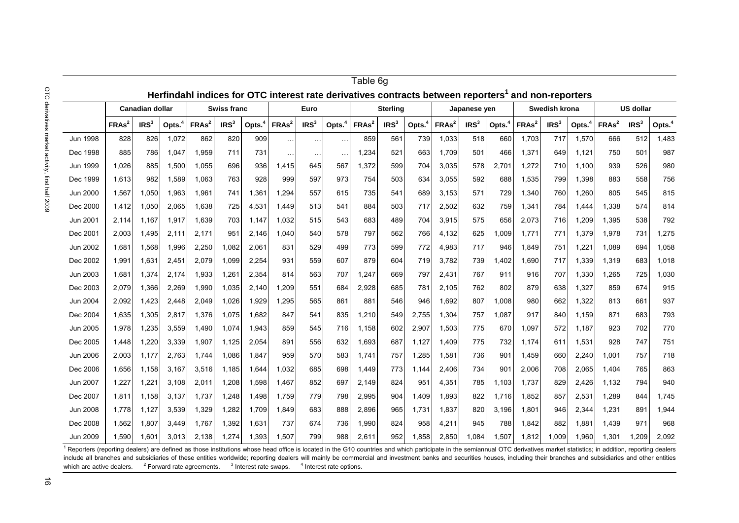|                                                                                                                                                                                                                                       | Table 6g                                                                                            |                  |                         |                   |                  |                    |                   |                  |                    |                   |                  |                    |                   |                  |                    |                   |                  |                    |                   |                  |                    |
|---------------------------------------------------------------------------------------------------------------------------------------------------------------------------------------------------------------------------------------|-----------------------------------------------------------------------------------------------------|------------------|-------------------------|-------------------|------------------|--------------------|-------------------|------------------|--------------------|-------------------|------------------|--------------------|-------------------|------------------|--------------------|-------------------|------------------|--------------------|-------------------|------------------|--------------------|
|                                                                                                                                                                                                                                       | Herfindahl indices for OTC interest rate derivatives contracts between reporters' and non-reporters |                  |                         |                   |                  |                    |                   |                  |                    |                   |                  |                    |                   |                  |                    |                   |                  |                    |                   |                  |                    |
|                                                                                                                                                                                                                                       | <b>Canadian dollar</b><br><b>Swiss franc</b>                                                        |                  | <b>Sterling</b><br>Euro |                   |                  | Japanese yen       |                   |                  |                    | Swedish krona     |                  |                    | <b>US dollar</b>  |                  |                    |                   |                  |                    |                   |                  |                    |
|                                                                                                                                                                                                                                       | FRAs <sup>2</sup>                                                                                   | IRS <sup>3</sup> | Opts. $4$               | FRAs <sup>2</sup> | IRS <sup>3</sup> | Opts. <sup>4</sup> | FRAs <sup>2</sup> | IRS <sup>3</sup> | Opts. <sup>4</sup> | FRAs <sup>2</sup> | IRS <sup>3</sup> | Opts. <sup>4</sup> | FRAs <sup>2</sup> | IRS <sup>3</sup> | Opts. <sup>4</sup> | FRAs <sup>2</sup> | IRS <sup>3</sup> | Opts. <sup>4</sup> | FRAs <sup>2</sup> | IRS <sup>3</sup> | Opts. <sup>4</sup> |
| <b>Jun 1998</b>                                                                                                                                                                                                                       | 828                                                                                                 | 826              | 1,072                   | 862               | 820              | 909                | $\sim$            | $\cdots$         | $\ldots$           | 859               | 561              | 739                | 1,033             | 518              | 660                | 1,703             | 717              | 1,570              | 666               | 512              | 1,483              |
| Dec 1998                                                                                                                                                                                                                              | 885                                                                                                 | 786              | 1,047                   | 1.959             | 711              | 731                | $\ddotsc$         | $\ddotsc$        | $\ddotsc$          | .234<br>1         | 521              | 663                | 1.709             | 501              | 466                | 1.371             | 649              | 1.121              | 750               | 501              | 987                |
| Jun 1999                                                                                                                                                                                                                              | 1.026                                                                                               | 885              | 1,500                   | 1.055             | 696              | 936                | 1.415             | 645              | 567                | 1.372             | 599              | 704                | 3.035             | 578              | 2.701              | 1.272             | 710              | 1.100              | 939               | 526              | 980                |
| Dec 1999                                                                                                                                                                                                                              | 1.613                                                                                               | 982              | 1,589                   | 1,063             | 763              | 928                | 999               | 597              | 973                | 754               | 503              | 634                | 3.055             | 592              | 688                | 1,535             | 799              | 1,398              | 883               | 558              | 756                |
| <b>Jun 2000</b>                                                                                                                                                                                                                       | 1,567                                                                                               | 1,050            | 1,963                   | 1,961             | 741              | 1,361              | 1,294             | 557              | 615                | 735               | 541              | 689                | 3.153             | 571              | 729                | 1,340             | 760              | 1,260              | 805               | 545              | 815                |
| Dec 2000                                                                                                                                                                                                                              | 1.412                                                                                               | 1,050            | 2,065                   | 1.638             | 725              | 4,531              | 1.449             | 513              | 541                | 884               | 503              | 717                | 2.502             | 632              | 759                | 1.341             | 784              | 1.444              | 1.338             | 574              | 814                |
| Jun 2001                                                                                                                                                                                                                              | 2.114                                                                                               | 1,167            | 1,917                   | 1,639             | 703              | 1,147              | 1.032             | 515              | 543                | 683               | 489              | 704                | 3.915             | 575              | 656                | 2.073             | 716              | 1,209              | 1.395             | 538              | 792                |
| Dec 2001                                                                                                                                                                                                                              | 2.003                                                                                               | 1,495            | 2,111                   | 2,171             | 951              | 2,146              | 1.040             | 540              | 578                | 797               | 562              | 766                | 4.132             | 625              | 1,009              | 1,771             | 771              | 1,379              | 1,978             | 731              | 1,275              |
| Jun 2002                                                                                                                                                                                                                              | 1.681                                                                                               | 1,568            | 1,996                   | 2,250             | 1,082            | 2,061              | 831               | 529              | 499                | 773               | 599              | 772                | 4,983             | 717              | 946                | 1,849             | 751              | 1,221              | 1,089             | 694              | 1,058              |
| Dec 2002                                                                                                                                                                                                                              | 1,991                                                                                               | 1,631            | 2,451                   | 2,079             | 1,099            | 2,254              | 931               | 559              | 607                | 879               | 604              | 719                | 3,782             | 739              | 1,402              | 1,690             | 717              | 1,339              | 1,319             | 683              | 1,018              |
| Jun 2003                                                                                                                                                                                                                              | 1.681                                                                                               | 1,374            | 2,174                   | 1.933             | 1,261            | 2.354              | 814               | 563              | 707                | 1.247             | 669              | 797                | 2.431             | 767              | 911                | 916               | 707              | 1,330              | 1.265             | 725              | 1,030              |
| Dec 2003                                                                                                                                                                                                                              | 2.079                                                                                               | 1,366            | 2,269                   | 1,990             | 1,035            | 2,140              | 1.209             | 551              | 684                | 2.928             | 685              | 781                | 2.105             | 762              | 802                | 879               | 638              | 1,327              | 859               | 674              | 915                |
| Jun 2004                                                                                                                                                                                                                              | 2,092                                                                                               | 1,423            | 2,448                   | 2,049             | 1,026            | 1,929              | 1,295             | 565              | 861                | 881               | 546              | 946                | 1.692             | 807              | 1,008              | 980               | 662              | 1,322              | 813               | 661              | 937                |
| Dec 2004                                                                                                                                                                                                                              | 1,635                                                                                               | 1,305            | 2,817                   | 1,376             | 1,075            | 1,682              | 847               | 541              | 835                | 1,210             | 549              | 2,755              | 1,304             | 757              | 1,087              | 917               | 840              | 1,159              | 871               | 683              | 793                |
| Jun 2005                                                                                                                                                                                                                              | 1.978                                                                                               | 1,235            | 3,559                   | 1.490             | 1.074            | 1,943              | 859               | 545              | 716                | 1.158             | 602              | 2.907              | 1.503             | 775              | 670                | 1.097             | 572              | 1.187              | 923               | 702              | 770                |
| Dec 2005                                                                                                                                                                                                                              | 1.448                                                                                               | 1,220            | 3,339                   | 1,907             | 1,125            | 2,054              | 891               | 556              | 632                | 1,693             | 687              | 1,127              | 1,409             | 775              | 732                | 1.174             | 611              | 1,531              | 928               | 747              | 751                |
| Jun 2006                                                                                                                                                                                                                              | 2,003                                                                                               | 1,177            | 2,763                   | 1.744             | 1,086            | 1,847              | 959               | 570              | 583                | 1.741             | 757              | 1,285              | 1.581             | 736              | 901                | 1,459             | 660              | 2,240              | 1.001             | 757              | 718                |
| Dec 2006                                                                                                                                                                                                                              | 1,656                                                                                               | 1,158            | 3,167                   | 3,516             | 1,185            | 1,644              | 1,032             | 685              | 698                | 1,449             | 773              | 1,144              | 2,406             | 734              | 901                | 2,006             | 708              | 2,065              | 1,404             | 765              | 863                |
| Jun 2007                                                                                                                                                                                                                              | 1.227                                                                                               | 1,221            | 3.108                   | 2.011             | 1.208            | 1,598              | 1.467             | 852              | 697                | 2.149             | 824              | 951                | 4.351             | 785              | 1.103              | 1.737             | 829              | 2,426              | 1.132             | 794              | 940                |
| Dec 2007                                                                                                                                                                                                                              | 1.811                                                                                               | 1,158            | 3,137                   | 1.737             | 1,248            | 1,498              | 1.759             | 779              | 798                | 2.995             | 904              | 1,409              | 1.893             | 822              | 1.716              | 1,852             | 857              | 2.531              | 1.289             | 844              | 1,745              |
| <b>Jun 2008</b>                                                                                                                                                                                                                       | 1.778                                                                                               | 1,127            | 3,539                   | 1,329             | 1,282            | 1,709              | 1.849             | 683              | 888                | 2.896             | 965              | 1,731              | 1,837             | 820              | 3.196              | 1.801             | 946              | 2,344              | 1.231             | 891              | 1,944              |
| Dec 2008                                                                                                                                                                                                                              | 1,562                                                                                               | 1,807            | 3,449                   | 1,767             | 1,392            | 1,631              | 737               | 674              | 736                | 1,990             | 824              | 958                | 4,211             | 945              | 788                | 1,842             | 882              | 1,881              | 1,439             | 971              | 968                |
| <b>Jun 2009</b>                                                                                                                                                                                                                       | 1.590                                                                                               | 1.601            | 3,013                   | 2,138             | 1,274            | 1,393              | 1.507             | 799              | 988                | 2.611             | 952              | 1.858              | 2.850             | 1.084            | 1.507              | 1,812             | 1,009            | 1.960              | 1,301             | .209             | 2.092              |
| $^1$ Reporters (reporting dealers) are defined as those institutions whose head office is located in the G10 countries and which participate in the semiannual OTC derivatives market statistics: in addition<br>reporting<br>dealers |                                                                                                     |                  |                         |                   |                  |                    |                   |                  |                    |                   |                  |                    |                   |                  |                    |                   |                  |                    |                   |                  |                    |

<sup>1</sup> Reporters (reporting dealers) are defined as those institutions whose head office is located in the G10 countries and which participate in the semiannual OTC derivatives market statistics; in addition, reporting dealer include all branches and subsidiaries of these entities worldwide; reporting dealers will mainly be commercial and investment banks and securities houses, including their branches and subsidiaries and other entities which are active dealers.  $2^2$  Forward rate agreements.  $3^3$  Interest rate swaps.  $4^4$  Interest rate options.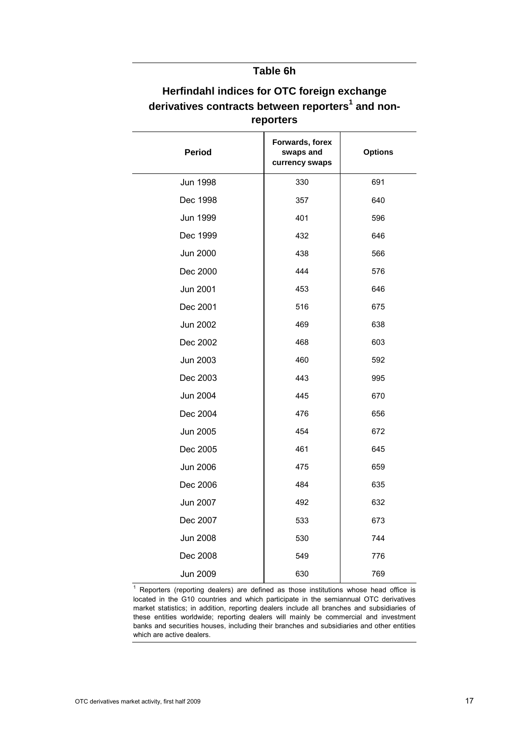#### **Table 6h**

| i chni rei s    |                                                |                |  |  |  |  |  |  |  |
|-----------------|------------------------------------------------|----------------|--|--|--|--|--|--|--|
| <b>Period</b>   | Forwards, forex<br>swaps and<br>currency swaps | <b>Options</b> |  |  |  |  |  |  |  |
| <b>Jun 1998</b> | 330                                            | 691            |  |  |  |  |  |  |  |
| Dec 1998        | 357                                            | 640            |  |  |  |  |  |  |  |
| Jun 1999        | 401                                            | 596            |  |  |  |  |  |  |  |
| Dec 1999        | 432                                            | 646            |  |  |  |  |  |  |  |
| Jun 2000        | 438                                            | 566            |  |  |  |  |  |  |  |
| Dec 2000        | 444                                            | 576            |  |  |  |  |  |  |  |
| Jun 2001        | 453                                            | 646            |  |  |  |  |  |  |  |
| Dec 2001        | 516                                            | 675            |  |  |  |  |  |  |  |
| Jun 2002        | 469                                            | 638            |  |  |  |  |  |  |  |
| Dec 2002        | 468                                            | 603            |  |  |  |  |  |  |  |
| Jun 2003        | 460                                            | 592            |  |  |  |  |  |  |  |
| Dec 2003        | 443                                            | 995            |  |  |  |  |  |  |  |
| Jun 2004        | 445                                            | 670            |  |  |  |  |  |  |  |
| Dec 2004        | 476                                            | 656            |  |  |  |  |  |  |  |
| Jun 2005        | 454                                            | 672            |  |  |  |  |  |  |  |
| Dec 2005        | 461                                            | 645            |  |  |  |  |  |  |  |
| Jun 2006        | 475                                            | 659            |  |  |  |  |  |  |  |
| Dec 2006        | 484                                            | 635            |  |  |  |  |  |  |  |
| Jun 2007        | 492                                            | 632            |  |  |  |  |  |  |  |
| Dec 2007        | 533                                            | 673            |  |  |  |  |  |  |  |
| <b>Jun 2008</b> | 530                                            | 744            |  |  |  |  |  |  |  |
| Dec 2008        | 549                                            | 776            |  |  |  |  |  |  |  |
| Jun 2009        | 630                                            | 769            |  |  |  |  |  |  |  |

## **Herfindahl indices for OTC foreign exchange derivatives contracts between reporters<sup>1</sup> and nonreporters**

 $1$  Reporters (reporting dealers) are defined as those institutions whose head office is located in the G10 countries and which participate in the semiannual OTC derivatives market statistics; in addition, reporting dealers include all branches and subsidiaries of these entities worldwide; reporting dealers will mainly be commercial and investment banks and securities houses, including their branches and subsidiaries and other entities which are active dealers.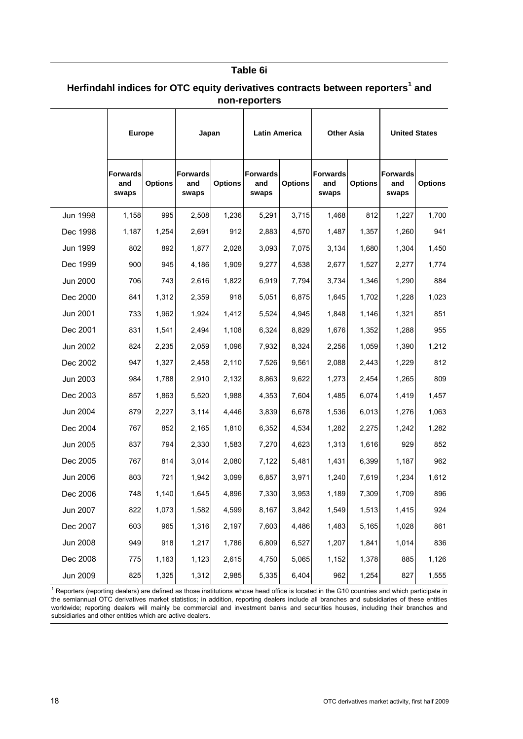#### **Table 6i**

## **Herfindahl indices for OTC equity derivatives contracts between reporters<sup>1</sup> and non-reporters**

|                 | <b>Europe</b>                   |                | Japan                           |                | <b>Latin America</b>            |                | <b>Other Asia</b>               |                | <b>United States</b>            |                |  |
|-----------------|---------------------------------|----------------|---------------------------------|----------------|---------------------------------|----------------|---------------------------------|----------------|---------------------------------|----------------|--|
|                 | <b>Forwards</b><br>and<br>swaps | <b>Options</b> | <b>Forwards</b><br>and<br>swaps | <b>Options</b> | <b>Forwards</b><br>and<br>swaps | <b>Options</b> | <b>Forwards</b><br>and<br>swaps | <b>Options</b> | <b>Forwards</b><br>and<br>swaps | <b>Options</b> |  |
| <b>Jun 1998</b> | 1,158                           | 995            | 2.508                           | 1,236          | 5,291                           | 3,715          | 1,468                           | 812            | 1,227                           | 1,700          |  |
| Dec 1998        | 1,187                           | 1,254          | 2,691                           | 912            | 2,883                           | 4,570          | 1.487                           | 1,357          | 1,260                           | 941            |  |
| Jun 1999        | 802                             | 892            | 1,877                           | 2,028          | 3,093                           | 7,075          | 3,134                           | 1,680          | 1,304                           | 1,450          |  |
| Dec 1999        | 900                             | 945            | 4,186                           | 1,909          | 9,277                           | 4,538          | 2,677                           | 1,527          | 2,277                           | 1,774          |  |
| Jun 2000        | 706                             | 743            | 2,616                           | 1,822          | 6,919                           | 7,794          | 3,734                           | 1,346          | 1,290                           | 884            |  |
| Dec 2000        | 841                             | 1,312          | 2,359                           | 918            | 5,051                           | 6,875          | 1,645                           | 1,702          | 1,228                           | 1,023          |  |
| Jun 2001        | 733                             | 1,962          | 1,924                           | 1,412          | 5,524                           | 4,945          | 1,848                           | 1,146          | 1,321                           | 851            |  |
| Dec 2001        | 831                             | 1,541          | 2,494                           | 1,108          | 6,324                           | 8,829          | 1,676                           | 1,352          | 1,288                           | 955            |  |
| Jun 2002        | 824                             | 2.235          | 2.059                           | 1.096          | 7,932                           | 8,324          | 2,256                           | 1,059          | 1,390                           | 1,212          |  |
| Dec 2002        | 947                             | 1,327          | 2,458                           | 2,110          | 7,526                           | 9,561          | 2,088                           | 2,443          | 1,229                           | 812            |  |
| Jun 2003        | 984                             | 1,788          | 2,910                           | 2,132          | 8,863                           | 9,622          | 1,273                           | 2,454          | 1,265                           | 809            |  |
| Dec 2003        | 857                             | 1,863          | 5,520                           | 1,988          | 4,353                           | 7,604          | 1,485                           | 6,074          | 1,419                           | 1,457          |  |
| Jun 2004        | 879                             | 2,227          | 3,114                           | 4,446          | 3,839                           | 6,678          | 1,536                           | 6,013          | 1,276                           | 1,063          |  |
| Dec 2004        | 767                             | 852            | 2,165                           | 1,810          | 6,352                           | 4,534          | 1,282                           | 2,275          | 1,242                           | 1,282          |  |
| Jun 2005        | 837                             | 794            | 2,330                           | 1,583          | 7,270                           | 4,623          | 1,313                           | 1,616          | 929                             | 852            |  |
| Dec 2005        | 767                             | 814            | 3,014                           | 2,080          | 7,122                           | 5,481          | 1,431                           | 6,399          | 1,187                           | 962            |  |
| Jun 2006        | 803                             | 721            | 1,942                           | 3,099          | 6,857                           | 3,971          | 1,240                           | 7,619          | 1,234                           | 1,612          |  |
| Dec 2006        | 748                             | 1,140          | 1,645                           | 4,896          | 7,330                           | 3,953          | 1,189                           | 7,309          | 1,709                           | 896            |  |
| Jun 2007        | 822                             | 1,073          | 1,582                           | 4,599          | 8,167                           | 3,842          | 1,549                           | 1,513          | 1,415                           | 924            |  |
| Dec 2007        | 603                             | 965            | 1,316                           | 2,197          | 7,603                           | 4,486          | 1,483                           | 5,165          | 1,028                           | 861            |  |
| <b>Jun 2008</b> | 949                             | 918            | 1,217                           | 1,786          | 6,809                           | 6,527          | 1,207                           | 1,841          | 1,014                           | 836            |  |
| Dec 2008        | 775                             | 1,163          | 1,123                           | 2,615          | 4,750                           | 5,065          | 1,152                           | 1,378          | 885                             | 1,126          |  |
| Jun 2009        | 825                             | 1,325          | 1,312                           | 2,985          | 5,335                           | 6,404          | 962                             | 1,254          | 827                             | 1,555          |  |

 $<sup>1</sup>$  Reporters (reporting dealers) are defined as those institutions whose head office is located in the G10 countries and which participate in</sup> the semiannual OTC derivatives market statistics; in addition, reporting dealers include all branches and subsidiaries of these entities worldwide; reporting dealers will mainly be commercial and investment banks and securities houses, including their branches and subsidiaries and other entities which are active dealers.